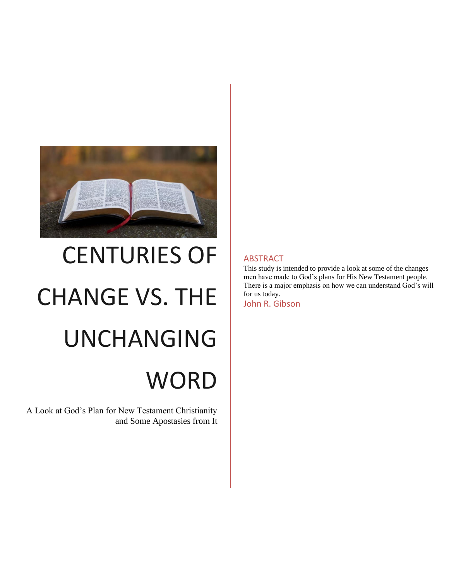

# CENTURIES OF CHANGE VS. THE UNCHANGING

**WORD** 

A Look at God's Plan for New Testament Christianity and Some Apostasies from It

# ABSTRACT

This study is intended to provide a look at some of the changes men have made to God's plans for His New Testament people. There is a major emphasis on how we can understand God's will for us today.

John R. Gibson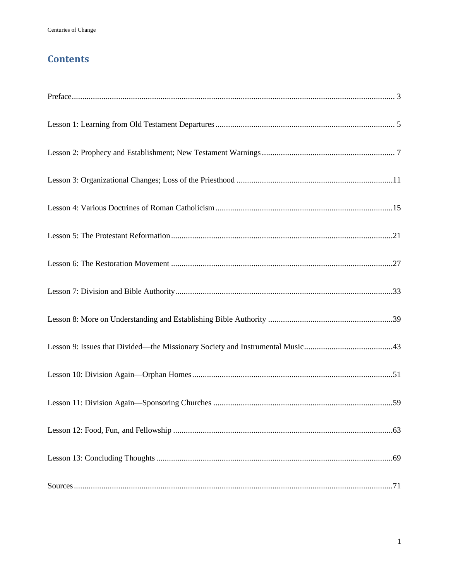# **Contents**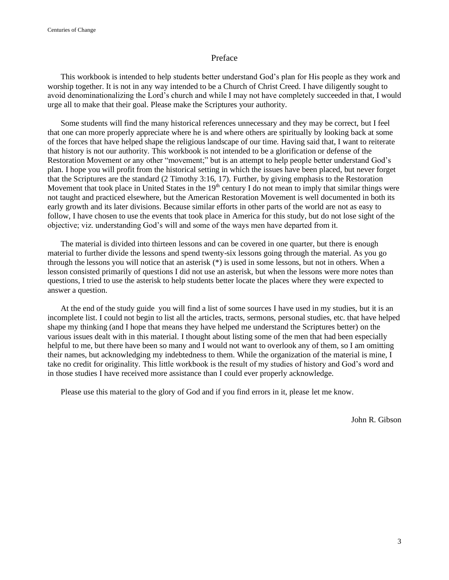#### Preface

<span id="page-4-0"></span>This workbook is intended to help students better understand God's plan for His people as they work and worship together. It is not in any way intended to be a Church of Christ Creed. I have diligently sought to avoid denominationalizing the Lord's church and while I may not have completely succeeded in that, I would urge all to make that their goal. Please make the Scriptures your authority.

Some students will find the many historical references unnecessary and they may be correct, but I feel that one can more properly appreciate where he is and where others are spiritually by looking back at some of the forces that have helped shape the religious landscape of our time. Having said that, I want to reiterate that history is not our authority. This workbook is not intended to be a glorification or defense of the Restoration Movement or any other "movement;" but is an attempt to help people better understand God's plan. I hope you will profit from the historical setting in which the issues have been placed, but never forget that the Scriptures are the standard (2 Timothy 3:16, 17). Further, by giving emphasis to the Restoration Movement that took place in United States in the  $19<sup>th</sup>$  century I do not mean to imply that similar things were not taught and practiced elsewhere, but the American Restoration Movement is well documented in both its early growth and its later divisions. Because similar efforts in other parts of the world are not as easy to follow, I have chosen to use the events that took place in America for this study, but do not lose sight of the objective; viz. understanding God's will and some of the ways men have departed from it.

The material is divided into thirteen lessons and can be covered in one quarter, but there is enough material to further divide the lessons and spend twenty-six lessons going through the material. As you go through the lessons you will notice that an asterisk (\*) is used in some lessons, but not in others. When a lesson consisted primarily of questions I did not use an asterisk, but when the lessons were more notes than questions, I tried to use the asterisk to help students better locate the places where they were expected to answer a question.

At the end of the study guide you will find a list of some sources I have used in my studies, but it is an incomplete list. I could not begin to list all the articles, tracts, sermons, personal studies, etc. that have helped shape my thinking (and I hope that means they have helped me understand the Scriptures better) on the various issues dealt with in this material. I thought about listing some of the men that had been especially helpful to me, but there have been so many and I would not want to overlook any of them, so I am omitting their names, but acknowledging my indebtedness to them. While the organization of the material is mine, I take no credit for originality. This little workbook is the result of my studies of history and God's word and in those studies I have received more assistance than I could ever properly acknowledge.

Please use this material to the glory of God and if you find errors in it, please let me know.

John R. Gibson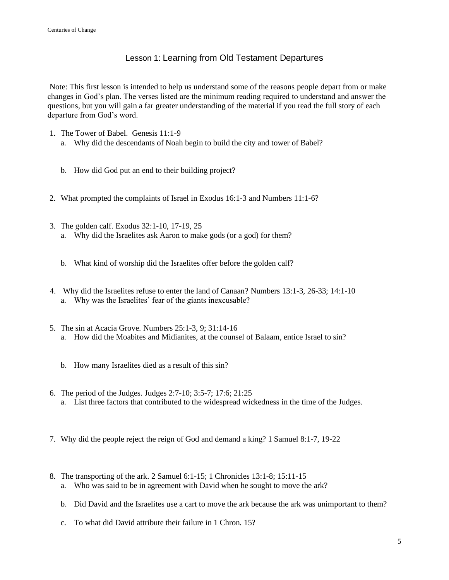# Lesson 1: Learning from Old Testament Departures

<span id="page-6-0"></span>Note: This first lesson is intended to help us understand some of the reasons people depart from or make changes in God's plan. The verses listed are the minimum reading required to understand and answer the questions, but you will gain a far greater understanding of the material if you read the full story of each departure from God's word.

- 1. The Tower of Babel. Genesis 11:1-9
	- a. Why did the descendants of Noah begin to build the city and tower of Babel?
	- b. How did God put an end to their building project?
- 2. What prompted the complaints of Israel in Exodus 16:1-3 and Numbers 11:1-6?
- 3. The golden calf. Exodus 32:1-10, 17-19, 25 a. Why did the Israelites ask Aaron to make gods (or a god) for them?
	- b. What kind of worship did the Israelites offer before the golden calf?
- 4. Why did the Israelites refuse to enter the land of Canaan? Numbers 13:1-3, 26-33; 14:1-10 a. Why was the Israelites' fear of the giants inexcusable?
- 5. The sin at Acacia Grove. Numbers 25:1-3, 9; 31:14-16 a. How did the Moabites and Midianites, at the counsel of Balaam, entice Israel to sin?
	- b. How many Israelites died as a result of this sin?
- 6. The period of the Judges. Judges 2:7-10; 3:5-7; 17:6; 21:25 a. List three factors that contributed to the widespread wickedness in the time of the Judges.
- 7. Why did the people reject the reign of God and demand a king? 1 Samuel 8:1-7, 19-22
- 8. The transporting of the ark. 2 Samuel 6:1-15; 1 Chronicles 13:1-8; 15:11-15
	- a. Who was said to be in agreement with David when he sought to move the ark?
	- b. Did David and the Israelites use a cart to move the ark because the ark was unimportant to them?
	- c. To what did David attribute their failure in 1 Chron. 15?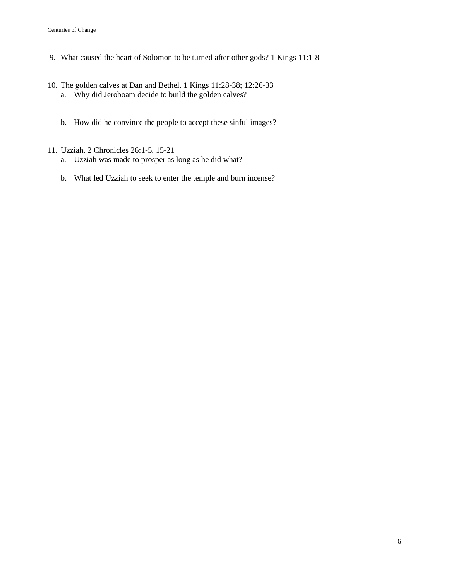- 9. What caused the heart of Solomon to be turned after other gods? 1 Kings 11:1-8
- 10. The golden calves at Dan and Bethel. 1 Kings 11:28-38; 12:26-33 a. Why did Jeroboam decide to build the golden calves?
	- b. How did he convince the people to accept these sinful images?
- 11. Uzziah. 2 Chronicles 26:1-5, 15-21
	- a. Uzziah was made to prosper as long as he did what?
	- b. What led Uzziah to seek to enter the temple and burn incense?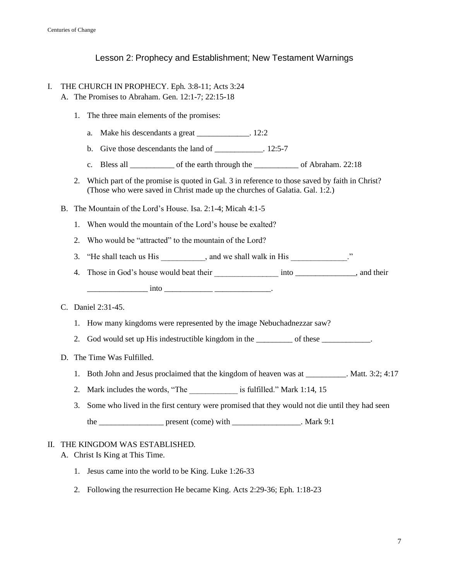Lesson 2: Prophecy and Establishment; New Testament Warnings

# <span id="page-8-0"></span>I. THE CHURCH IN PROPHECY. Eph. 3:8-11; Acts 3:24

- A. The Promises to Abraham. Gen. 12:1-7; 22:15-18
	- 1. The three main elements of the promises:
		- a. Make his descendants a great \_\_\_\_\_\_\_\_\_\_\_\_\_. 12:2
		- b. Give those descendants the land of \_\_\_\_\_\_\_\_\_\_\_\_. 12:5-7
		- c. Bless all \_\_\_\_\_\_\_\_\_\_\_ of the earth through the \_\_\_\_\_\_\_\_\_\_\_ of Abraham. 22:18
	- 2. Which part of the promise is quoted in Gal. 3 in reference to those saved by faith in Christ? (Those who were saved in Christ made up the churches of Galatia. Gal. 1:2.)
- B. The Mountain of the Lord's House. Isa. 2:1-4; Micah 4:1-5
	- 1. When would the mountain of the Lord's house be exalted?
	- 2. Who would be "attracted" to the mountain of the Lord?
	- 3. "He shall teach us His \_\_\_\_\_\_\_\_\_, and we shall walk in His \_\_\_\_\_\_\_\_\_\_\_\_."
	- 4. Those in God's house would beat their into into a line into a line of their
		- \_\_\_\_\_\_\_\_\_\_\_\_\_\_\_ into \_\_\_\_\_\_\_\_\_\_\_\_ \_\_\_\_\_\_\_\_\_\_\_\_\_\_.

## C. Daniel 2:31-45.

- 1. How many kingdoms were represented by the image Nebuchadnezzar saw?
- 2. God would set up His indestructible kingdom in the \_\_\_\_\_\_\_\_ of these \_\_\_\_\_\_\_\_\_\_.
- D. The Time Was Fulfilled.
	- 1. Both John and Jesus proclaimed that the kingdom of heaven was at \_\_\_\_\_\_\_\_\_\_. Matt. 3:2; 4:17
	- 2. Mark includes the words, "The \_\_\_\_\_\_\_\_\_\_\_\_\_\_\_\_\_ is fulfilled." Mark 1:14, 15
	- 3. Some who lived in the first century were promised that they would not die until they had seen
		- the \_\_\_\_\_\_\_\_\_\_\_\_\_\_\_\_\_\_\_\_\_\_\_ present (come) with \_\_\_\_\_\_\_\_\_\_\_\_\_\_\_\_\_\_\_\_. Mark 9:1

## II. THE KINGDOM WAS ESTABLISHED.

- A. Christ Is King at This Time.
	- 1. Jesus came into the world to be King. Luke 1:26-33
	- 2. Following the resurrection He became King. Acts 2:29-36; Eph. 1:18-23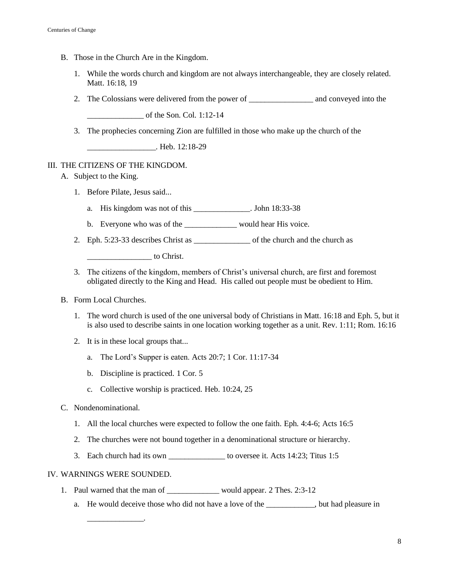- B. Those in the Church Are in the Kingdom.
	- 1. While the words church and kingdom are not always interchangeable, they are closely related. Matt. 16:18, 19
	- 2. The Colossians were delivered from the power of \_\_\_\_\_\_\_\_\_\_\_\_\_\_\_\_ and conveyed into the

\_\_\_\_\_\_\_\_\_\_\_\_\_\_ of the Son. Col. 1:12-14

3. The prophecies concerning Zion are fulfilled in those who make up the church of the

\_\_\_\_\_\_\_\_\_\_\_\_\_\_\_\_\_. Heb. 12:18-29

#### III. THE CITIZENS OF THE KINGDOM.

- A. Subject to the King.
	- 1. Before Pilate, Jesus said...
		- a. His kingdom was not of this \_\_\_\_\_\_\_\_\_\_\_\_\_\_\_\_. John 18:33-38
		- b. Everyone who was of the \_\_\_\_\_\_\_\_\_\_\_\_\_\_ would hear His voice.
	- 2. Eph. 5:23-33 describes Christ as \_\_\_\_\_\_\_\_\_\_\_\_\_\_ of the church and the church as

to Christ.

3. The citizens of the kingdom, members of Christ's universal church, are first and foremost obligated directly to the King and Head. His called out people must be obedient to Him.

#### B. Form Local Churches.

- 1. The word church is used of the one universal body of Christians in Matt. 16:18 and Eph. 5, but it is also used to describe saints in one location working together as a unit. Rev. 1:11; Rom. 16:16
- 2. It is in these local groups that...
	- a. The Lord's Supper is eaten. Acts 20:7; 1 Cor. 11:17-34
	- b. Discipline is practiced. 1 Cor. 5
	- c. Collective worship is practiced. Heb. 10:24, 25
- C. Nondenominational.
	- 1. All the local churches were expected to follow the one faith. Eph. 4:4-6; Acts 16:5
	- 2. The churches were not bound together in a denominational structure or hierarchy.
	- 3. Each church had its own \_\_\_\_\_\_\_\_\_\_\_\_\_\_\_\_ to oversee it. Acts 14:23; Titus 1:5

#### IV. WARNINGS WERE SOUNDED.

\_\_\_\_\_\_\_\_\_\_\_\_\_\_.

- 1. Paul warned that the man of \_\_\_\_\_\_\_\_\_\_\_\_\_\_ would appear. 2 Thes. 2:3-12
	- a. He would deceive those who did not have a love of the state in that pleasure in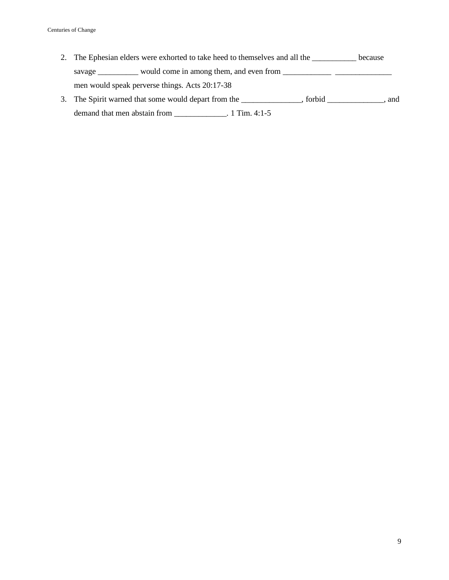- 2. The Ephesian elders were exhorted to take heed to themselves and all the \_\_\_\_\_\_\_\_\_\_\_\_ because savage \_\_\_\_\_\_\_\_\_\_ would come in among them, and even from \_\_\_\_\_\_\_\_\_\_\_\_ \_\_\_\_\_\_\_\_\_\_\_\_\_\_ men would speak perverse things. Acts 20:17-38
- 3. The Spirit warned that some would depart from the \_\_\_\_\_\_\_\_\_\_\_\_\_\_\_, forbid \_\_\_\_\_\_\_\_\_\_\_\_\_\_, and demand that men abstain from \_\_\_\_\_\_\_\_\_\_\_\_\_. 1 Tim. 4:1-5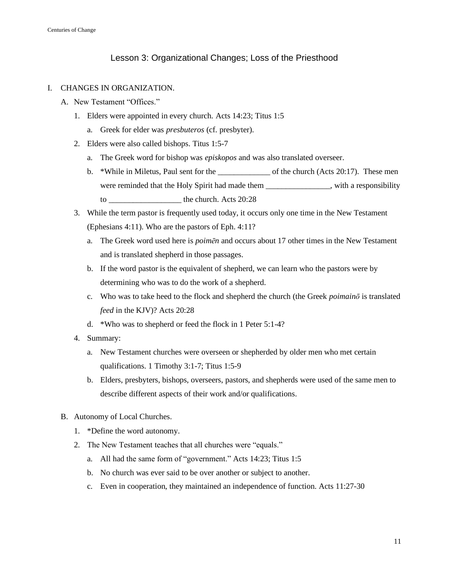# Lesson 3: Organizational Changes; Loss of the Priesthood

#### I. CHANGES IN ORGANIZATION.

- A. New Testament "Offices."
	- 1. Elders were appointed in every church. Acts 14:23; Titus 1:5
		- a. Greek for elder was *presbuteros* (cf. presbyter).
	- 2. Elders were also called bishops. Titus 1:5-7
		- a. The Greek word for bishop was *episkopos* and was also translated overseer.
		- b. \*While in Miletus, Paul sent for the  $\qquad \qquad$  of the church (Acts 20:17). These men were reminded that the Holy Spirit had made them \_\_\_\_\_\_\_\_\_\_\_\_\_\_, with a responsibility to the church. Acts 20:28
	- 3. While the term pastor is frequently used today, it occurs only one time in the New Testament (Ephesians 4:11). Who are the pastors of Eph. 4:11?
		- a. The Greek word used here is *poimēn* and occurs about 17 other times in the New Testament and is translated shepherd in those passages.
		- b. If the word pastor is the equivalent of shepherd, we can learn who the pastors were by determining who was to do the work of a shepherd.
		- c. Who was to take heed to the flock and shepherd the church (the Greek *poimainō* is translated *feed* in the KJV)? Acts 20:28
		- d. \*Who was to shepherd or feed the flock in 1 Peter 5:1-4?
	- 4. Summary:
		- a. New Testament churches were overseen or shepherded by older men who met certain qualifications. 1 Timothy 3:1-7; Titus 1:5-9
		- b. Elders, presbyters, bishops, overseers, pastors, and shepherds were used of the same men to describe different aspects of their work and/or qualifications.
- B. Autonomy of Local Churches.
	- 1. \*Define the word autonomy.
	- 2. The New Testament teaches that all churches were "equals."
		- a. All had the same form of "government." Acts 14:23; Titus 1:5
		- b. No church was ever said to be over another or subject to another.
		- c. Even in cooperation, they maintained an independence of function. Acts 11:27-30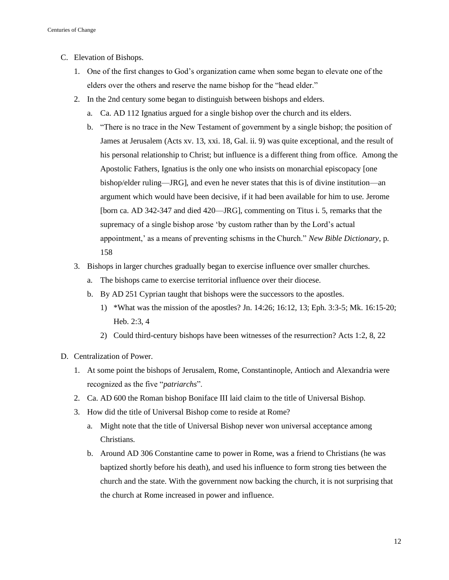- C. Elevation of Bishops.
	- 1. One of the first changes to God's organization came when some began to elevate one of the elders over the others and reserve the name bishop for the "head elder."
	- 2. In the 2nd century some began to distinguish between bishops and elders.
		- a. Ca. AD 112 Ignatius argued for a single bishop over the church and its elders.
		- b. "There is no trace in the New Testament of government by a single bishop; the position of James at Jerusalem (Acts xv. 13, xxi. 18, Gal. ii. 9) was quite exceptional, and the result of his personal relationship to Christ; but influence is a different thing from office. Among the Apostolic Fathers, Ignatius is the only one who insists on monarchial episcopacy [one bishop/elder ruling—JRG], and even he never states that this is of divine institution—an argument which would have been decisive, if it had been available for him to use. Jerome [born ca. AD 342-347 and died 420—JRG], commenting on Titus i. 5, remarks that the supremacy of a single bishop arose 'by custom rather than by the Lord's actual appointment,' as a means of preventing schisms in the Church." *New Bible Dictionary*, p. 158
	- 3. Bishops in larger churches gradually began to exercise influence over smaller churches.
		- a. The bishops came to exercise territorial influence over their diocese.
		- b. By AD 251 Cyprian taught that bishops were the successors to the apostles.
			- 1) \*What was the mission of the apostles? Jn. 14:26; 16:12, 13; Eph. 3:3-5; Mk. 16:15-20; Heb. 2:3, 4
			- 2) Could third-century bishops have been witnesses of the resurrection? Acts 1:2, 8, 22
- D. Centralization of Power.
	- 1. At some point the bishops of Jerusalem, Rome, Constantinople, Antioch and Alexandria were recognized as the five "*patriarchs*".
	- 2. Ca. AD 600 the Roman bishop Boniface III laid claim to the title of Universal Bishop.
	- 3. How did the title of Universal Bishop come to reside at Rome?
		- a. Might note that the title of Universal Bishop never won universal acceptance among Christians.
		- b. Around AD 306 Constantine came to power in Rome, was a friend to Christians (he was baptized shortly before his death), and used his influence to form strong ties between the church and the state. With the government now backing the church, it is not surprising that the church at Rome increased in power and influence.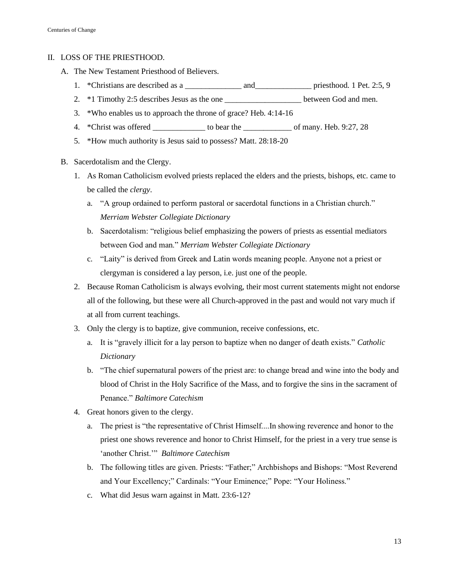#### II. LOSS OF THE PRIESTHOOD.

- A. The New Testament Priesthood of Believers.
	- 1. \*Christians are described as a \_\_\_\_\_\_\_\_\_\_\_\_\_\_ and\_\_\_\_\_\_\_\_\_\_\_\_\_\_ priesthood. 1 Pet. 2:5, 9
	- 2. \*1 Timothy 2:5 describes Jesus as the one \_\_\_\_\_\_\_\_\_\_\_\_\_\_\_\_\_\_\_ between God and men.
	- 3. \*Who enables us to approach the throne of grace? Heb. 4:14-16
	- 4. \*Christ was offered to bear the of many. Heb. 9:27, 28
	- 5. \*How much authority is Jesus said to possess? Matt. 28:18-20
- B. Sacerdotalism and the Clergy.
	- 1. As Roman Catholicism evolved priests replaced the elders and the priests, bishops, etc. came to be called the *clergy*.
		- a. "A group ordained to perform pastoral or sacerdotal functions in a Christian church." *Merriam Webster Collegiate Dictionary*
		- b. Sacerdotalism: "religious belief emphasizing the powers of priests as essential mediators between God and man." *Merriam Webster Collegiate Dictionary*
		- c. "Laity" is derived from Greek and Latin words meaning people. Anyone not a priest or clergyman is considered a lay person, i.e. just one of the people.
	- 2. Because Roman Catholicism is always evolving, their most current statements might not endorse all of the following, but these were all Church-approved in the past and would not vary much if at all from current teachings.
	- 3. Only the clergy is to baptize, give communion, receive confessions, etc.
		- a. It is "gravely illicit for a lay person to baptize when no danger of death exists." *Catholic Dictionary*
		- b. "The chief supernatural powers of the priest are: to change bread and wine into the body and blood of Christ in the Holy Sacrifice of the Mass, and to forgive the sins in the sacrament of Penance." *Baltimore Catechism*
	- 4. Great honors given to the clergy.
		- a. The priest is "the representative of Christ Himself....In showing reverence and honor to the priest one shows reverence and honor to Christ Himself, for the priest in a very true sense is 'another Christ.'" *Baltimore Catechism*
		- b. The following titles are given. Priests: "Father;" Archbishops and Bishops: "Most Reverend and Your Excellency;" Cardinals: "Your Eminence;" Pope: "Your Holiness."
		- c. What did Jesus warn against in Matt. 23:6-12?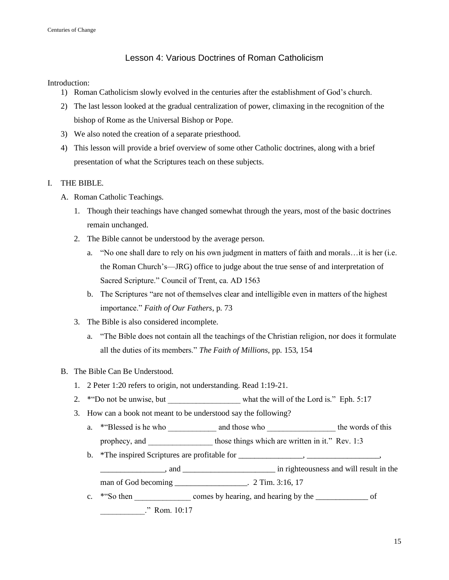# Lesson 4: Various Doctrines of Roman Catholicism

#### Introduction:

- 1) Roman Catholicism slowly evolved in the centuries after the establishment of God's church.
- 2) The last lesson looked at the gradual centralization of power, climaxing in the recognition of the bishop of Rome as the Universal Bishop or Pope.
- 3) We also noted the creation of a separate priesthood.
- 4) This lesson will provide a brief overview of some other Catholic doctrines, along with a brief presentation of what the Scriptures teach on these subjects.

#### I. THE BIBLE.

- A. Roman Catholic Teachings.
	- 1. Though their teachings have changed somewhat through the years, most of the basic doctrines remain unchanged.
	- 2. The Bible cannot be understood by the average person.
		- a. "No one shall dare to rely on his own judgment in matters of faith and morals…it is her (i.e. the Roman Church's—JRG) office to judge about the true sense of and interpretation of Sacred Scripture." Council of Trent, ca. AD 1563
		- b. The Scriptures "are not of themselves clear and intelligible even in matters of the highest importance." *Faith of Our Fathers*, p. 73
	- 3. The Bible is also considered incomplete.
		- a. "The Bible does not contain all the teachings of the Christian religion, nor does it formulate all the duties of its members." *The Faith of Millions*, pp. 153, 154

#### B. The Bible Can Be Understood.

- 1. 2 Peter 1:20 refers to origin, not understanding. Read 1:19-21.
- 2. \*"Do not be unwise, but what the will of the Lord is." Eph. 5:17
- 3. How can a book not meant to be understood say the following?
	- a. \*"Blessed is he who \_\_\_\_\_\_\_\_\_\_\_\_ and those who \_\_\_\_\_\_\_\_\_\_\_\_\_\_\_\_\_ the words of this prophecy, and those things which are written in it." Rev. 1:3
	- b. \*The inspired Scriptures are profitable for \_\_\_\_\_\_\_\_\_\_\_\_\_\_\_\_, \_\_\_\_\_\_\_\_\_\_\_\_\_\_,

\_\_\_\_\_\_\_\_\_\_\_\_\_\_\_\_, and \_\_\_\_\_\_\_\_\_\_\_\_\_\_\_\_\_\_\_\_\_\_\_ in righteousness and will result in the

man of God becoming \_\_\_\_\_\_\_\_\_\_\_\_\_\_\_\_\_\_. 2 Tim. 3:16, 17

c. \*"So then \_\_\_\_\_\_\_\_\_\_\_\_\_\_ comes by hearing, and hearing by the \_\_\_\_\_\_\_\_\_\_\_\_\_\_\_ of \_\_\_\_\_\_\_\_\_\_\_." Rom. 10:17

15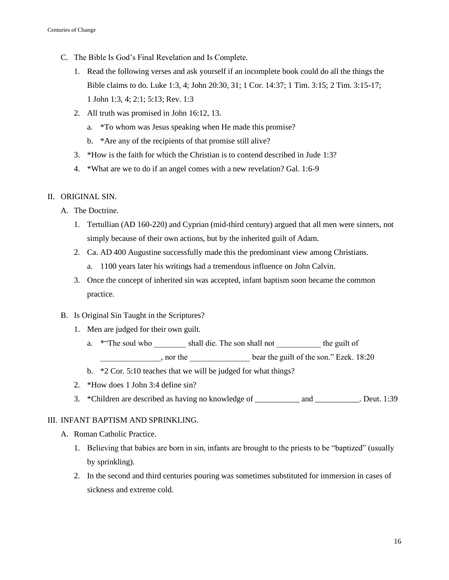- C. The Bible Is God's Final Revelation and Is Complete.
	- 1. Read the following verses and ask yourself if an incomplete book could do all the things the Bible claims to do. Luke 1:3, 4; John 20:30, 31; 1 Cor. 14:37; 1 Tim. 3:15; 2 Tim. 3:15-17; 1 John 1:3, 4; 2:1; 5:13; Rev. 1:3
	- 2. All truth was promised in John 16:12, 13.
		- a. \*To whom was Jesus speaking when He made this promise?
		- b. \*Are any of the recipients of that promise still alive?
	- 3. \*How is the faith for which the Christian is to contend described in Jude 1:3?
	- 4. \*What are we to do if an angel comes with a new revelation? Gal. 1:6-9

#### II. ORIGINAL SIN.

- A. The Doctrine.
	- 1. Tertullian (AD 160-220) and Cyprian (mid-third century) argued that all men were sinners, not simply because of their own actions, but by the inherited guilt of Adam.
	- 2. Ca. AD 400 Augustine successfully made this the predominant view among Christians.
		- a. 1100 years later his writings had a tremendous influence on John Calvin.
	- 3. Once the concept of inherited sin was accepted, infant baptism soon became the common practice.
- B. Is Original Sin Taught in the Scriptures?
	- 1. Men are judged for their own guilt.
		- a. \* The soul who shall die. The son shall not the guilt of \_\_\_\_\_\_\_\_\_\_\_\_\_\_\_, nor the \_\_\_\_\_\_\_\_\_\_\_\_\_\_\_ bear the guilt of the son." Ezek. 18:20
		- b. \*2 Cor. 5:10 teaches that we will be judged for what things?
	- 2. \*How does 1 John 3:4 define sin?
	- 3. \*Children are described as having no knowledge of \_\_\_\_\_\_\_\_\_\_\_ and \_\_\_\_\_\_\_\_\_\_\_. Deut. 1:39

#### III. INFANT BAPTISM AND SPRINKLING.

- A. Roman Catholic Practice.
	- 1. Believing that babies are born in sin, infants are brought to the priests to be "baptized" (usually by sprinkling).
	- 2. In the second and third centuries pouring was sometimes substituted for immersion in cases of sickness and extreme cold.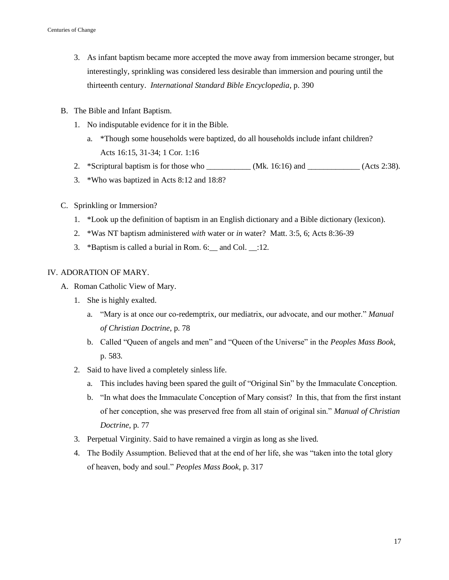- 3. As infant baptism became more accepted the move away from immersion became stronger, but interestingly, sprinkling was considered less desirable than immersion and pouring until the thirteenth century. *International Standard Bible Encyclopedia*, p. 390
- B. The Bible and Infant Baptism.
	- 1. No indisputable evidence for it in the Bible.
		- a. \*Though some households were baptized, do all households include infant children? Acts 16:15, 31-34; 1 Cor. 1:16
	- 2. \*Scriptural baptism is for those who \_\_\_\_\_\_\_\_\_\_\_\_ (Mk. 16:16) and \_\_\_\_\_\_\_\_\_\_\_\_ (Acts 2:38).
	- 3. \*Who was baptized in Acts 8:12 and 18:8?
- C. Sprinkling or Immersion?
	- 1. \*Look up the definition of baptism in an English dictionary and a Bible dictionary (lexicon).
	- 2. \*Was NT baptism administered *with* water or *in* water? Matt. 3:5, 6; Acts 8:36-39
	- 3. \*Baptism is called a burial in Rom. 6:\_\_ and Col. \_\_:12.

#### IV. ADORATION OF MARY.

- A. Roman Catholic View of Mary.
	- 1. She is highly exalted.
		- a. "Mary is at once our co-redemptrix, our mediatrix, our advocate, and our mother." *Manual of Christian Doctrine*, p. 78
		- b. Called "Queen of angels and men" and "Queen of the Universe" in the *Peoples Mass Book*, p. 583.
	- 2. Said to have lived a completely sinless life.
		- a. This includes having been spared the guilt of "Original Sin" by the Immaculate Conception.
		- b. "In what does the Immaculate Conception of Mary consist? In this, that from the first instant of her conception, she was preserved free from all stain of original sin." *Manual of Christian Doctrine*, p. 77
	- 3. Perpetual Virginity. Said to have remained a virgin as long as she lived.
	- 4. The Bodily Assumption. Believed that at the end of her life, she was "taken into the total glory of heaven, body and soul." *Peoples Mass Book*, p. 317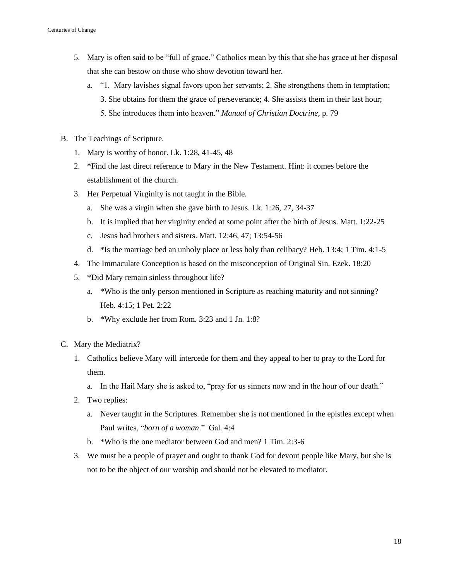- 5. Mary is often said to be "full of grace." Catholics mean by this that she has grace at her disposal that she can bestow on those who show devotion toward her.
	- a. "1. Mary lavishes signal favors upon her servants; 2. She strengthens them in temptation;
		- 3. She obtains for them the grace of perseverance; 4. She assists them in their last hour;
		- 5. She introduces them into heaven." *Manual of Christian Doctrine*, p. 79
- B. The Teachings of Scripture.
	- 1. Mary is worthy of honor. Lk. 1:28, 41-45, 48
	- 2. \*Find the last direct reference to Mary in the New Testament. Hint: it comes before the establishment of the church.
	- 3. Her Perpetual Virginity is not taught in the Bible.
		- a. She was a virgin when she gave birth to Jesus. Lk. 1:26, 27, 34-37
		- b. It is implied that her virginity ended at some point after the birth of Jesus. Matt. 1:22-25
		- c. Jesus had brothers and sisters. Matt. 12:46, 47; 13:54-56
		- d. \*Is the marriage bed an unholy place or less holy than celibacy? Heb. 13:4; 1 Tim. 4:1-5
	- 4. The Immaculate Conception is based on the misconception of Original Sin. Ezek. 18:20
	- 5. \*Did Mary remain sinless throughout life?
		- a. \*Who is the only person mentioned in Scripture as reaching maturity and not sinning? Heb. 4:15; 1 Pet. 2:22
		- b. \*Why exclude her from Rom. 3:23 and 1 Jn. 1:8?
- C. Mary the Mediatrix?
	- 1. Catholics believe Mary will intercede for them and they appeal to her to pray to the Lord for them.
		- a. In the Hail Mary she is asked to, "pray for us sinners now and in the hour of our death."
	- 2. Two replies:
		- a. Never taught in the Scriptures. Remember she is not mentioned in the epistles except when Paul writes, "*born of a woman*." Gal. 4:4
		- b. \*Who is the one mediator between God and men? 1 Tim. 2:3-6
	- 3. We must be a people of prayer and ought to thank God for devout people like Mary, but she is not to be the object of our worship and should not be elevated to mediator.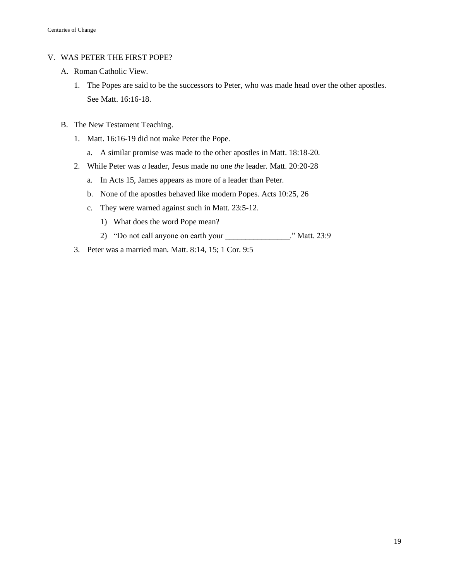- V. WAS PETER THE FIRST POPE?
	- A. Roman Catholic View.
		- 1. The Popes are said to be the successors to Peter, who was made head over the other apostles. See Matt. 16:16-18.
	- B. The New Testament Teaching.
		- 1. Matt. 16:16-19 did not make Peter the Pope.
			- a. A similar promise was made to the other apostles in Matt. 18:18-20.
		- 2. While Peter was *a* leader, Jesus made no one *the* leader. Matt. 20:20-28
			- a. In Acts 15, James appears as more of a leader than Peter.
			- b. None of the apostles behaved like modern Popes. Acts 10:25, 26
			- c. They were warned against such in Matt. 23:5-12.
				- 1) What does the word Pope mean?
				- 2) "Do not call anyone on earth your \_\_\_\_\_\_\_\_\_\_\_\_\_\_." Matt. 23:9
		- 3. Peter was a married man. Matt. 8:14, 15; 1 Cor. 9:5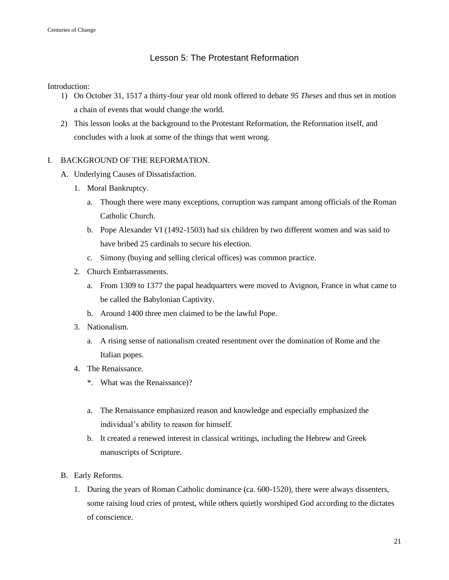# Lesson 5: The Protestant Reformation

<span id="page-22-0"></span>Introduction:

- 1) On October 31, 1517 a thirty-four year old monk offered to debate *95 Theses* and thus set in motion a chain of events that would change the world.
- 2) This lesson looks at the background to the Protestant Reformation, the Reformation itself, and concludes with a look at some of the things that went wrong.

#### I. BACKGROUND OF THE REFORMATION.

- A. Underlying Causes of Dissatisfaction.
	- 1. Moral Bankruptcy.
		- a. Though there were many exceptions, corruption was rampant among officials of the Roman Catholic Church.
		- b. Pope Alexander VI (1492-1503) had six children by two different women and was said to have bribed 25 cardinals to secure his election.
		- c. Simony (buying and selling clerical offices) was common practice.
	- 2. Church Embarrassments.
		- a. From 1309 to 1377 the papal headquarters were moved to Avignon, France in what came to be called the Babylonian Captivity.
		- b. Around 1400 three men claimed to be the lawful Pope.
	- 3. Nationalism.
		- a. A rising sense of nationalism created resentment over the domination of Rome and the Italian popes.
	- 4. The Renaissance.
		- \*. What was the Renaissance)?
		- a. The Renaissance emphasized reason and knowledge and especially emphasized the individual's ability to reason for himself.
		- b. It created a renewed interest in classical writings, including the Hebrew and Greek manuscripts of Scripture.
- B. Early Reforms.
	- 1. During the years of Roman Catholic dominance (ca. 600-1520), there were always dissenters, some raising loud cries of protest, while others quietly worshiped God according to the dictates of conscience.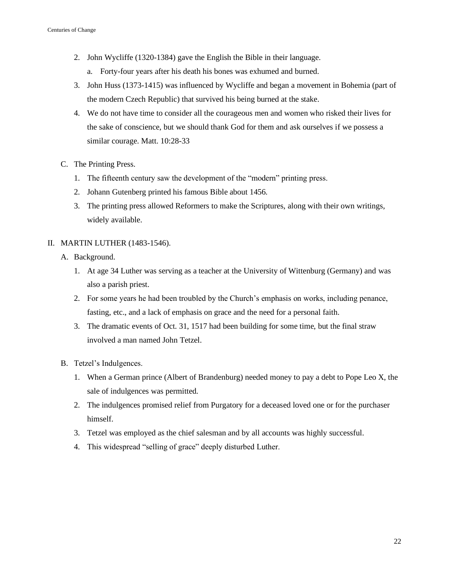- 2. John Wycliffe (1320-1384) gave the English the Bible in their language.
	- a. Forty-four years after his death his bones was exhumed and burned.
- 3. John Huss (1373-1415) was influenced by Wycliffe and began a movement in Bohemia (part of the modern Czech Republic) that survived his being burned at the stake.
- 4. We do not have time to consider all the courageous men and women who risked their lives for the sake of conscience, but we should thank God for them and ask ourselves if we possess a similar courage. Matt. 10:28-33
- C. The Printing Press.
	- 1. The fifteenth century saw the development of the "modern" printing press.
	- 2. Johann Gutenberg printed his famous Bible about 1456.
	- 3. The printing press allowed Reformers to make the Scriptures, along with their own writings, widely available.

#### II. MARTIN LUTHER (1483-1546).

- A. Background.
	- 1. At age 34 Luther was serving as a teacher at the University of Wittenburg (Germany) and was also a parish priest.
	- 2. For some years he had been troubled by the Church's emphasis on works, including penance, fasting, etc., and a lack of emphasis on grace and the need for a personal faith.
	- 3. The dramatic events of Oct. 31, 1517 had been building for some time, but the final straw involved a man named John Tetzel.
- B. Tetzel's Indulgences.
	- 1. When a German prince (Albert of Brandenburg) needed money to pay a debt to Pope Leo X, the sale of indulgences was permitted.
	- 2. The indulgences promised relief from Purgatory for a deceased loved one or for the purchaser himself.
	- 3. Tetzel was employed as the chief salesman and by all accounts was highly successful.
	- 4. This widespread "selling of grace" deeply disturbed Luther.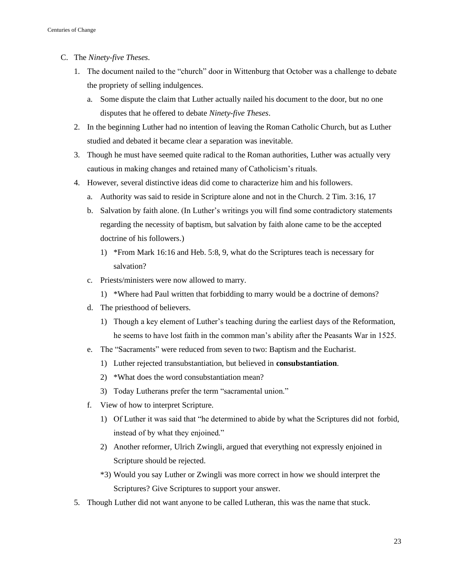- C. The *Ninety-five Theses*.
	- 1. The document nailed to the "church" door in Wittenburg that October was a challenge to debate the propriety of selling indulgences.
		- a. Some dispute the claim that Luther actually nailed his document to the door, but no one disputes that he offered to debate *Ninety-five Theses*.
	- 2. In the beginning Luther had no intention of leaving the Roman Catholic Church, but as Luther studied and debated it became clear a separation was inevitable.
	- 3. Though he must have seemed quite radical to the Roman authorities, Luther was actually very cautious in making changes and retained many of Catholicism's rituals.
	- 4. However, several distinctive ideas did come to characterize him and his followers.
		- a. Authority was said to reside in Scripture alone and not in the Church. 2 Tim. 3:16, 17
		- b. Salvation by faith alone. (In Luther's writings you will find some contradictory statements regarding the necessity of baptism, but salvation by faith alone came to be the accepted doctrine of his followers.)
			- 1) \*From Mark 16:16 and Heb. 5:8, 9, what do the Scriptures teach is necessary for salvation?
		- c. Priests/ministers were now allowed to marry.
			- 1) \*Where had Paul written that forbidding to marry would be a doctrine of demons?
		- d. The priesthood of believers.
			- 1) Though a key element of Luther's teaching during the earliest days of the Reformation, he seems to have lost faith in the common man's ability after the Peasants War in 1525.
		- e. The "Sacraments" were reduced from seven to two: Baptism and the Eucharist.
			- 1) Luther rejected transubstantiation, but believed in **consubstantiation**.
			- 2) \*What does the word consubstantiation mean?
			- 3) Today Lutherans prefer the term "sacramental union."
		- f. View of how to interpret Scripture.
			- 1) Of Luther it was said that "he determined to abide by what the Scriptures did not forbid, instead of by what they enjoined."
			- 2) Another reformer, Ulrich Zwingli, argued that everything not expressly enjoined in Scripture should be rejected.
			- \*3) Would you say Luther or Zwingli was more correct in how we should interpret the Scriptures? Give Scriptures to support your answer.
	- 5. Though Luther did not want anyone to be called Lutheran, this was the name that stuck.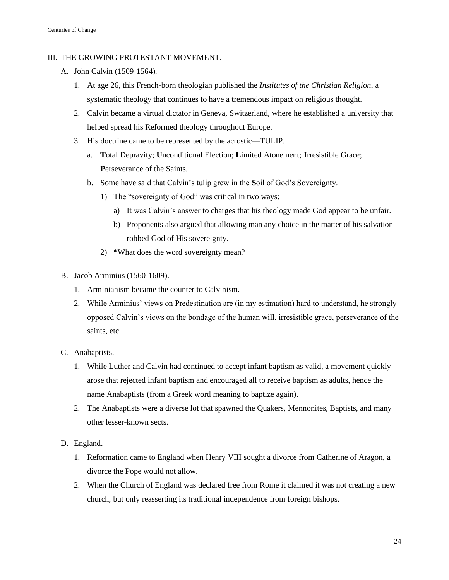#### III. THE GROWING PROTESTANT MOVEMENT.

- A. John Calvin (1509-1564).
	- 1. At age 26, this French-born theologian published the *Institutes of the Christian Religion*, a systematic theology that continues to have a tremendous impact on religious thought.
	- 2. Calvin became a virtual dictator in Geneva, Switzerland, where he established a university that helped spread his Reformed theology throughout Europe.
	- 3. His doctrine came to be represented by the acrostic—TULIP.
		- a. **T**otal Depravity; **U**nconditional Election; **L**imited Atonement; **I**rresistible Grace; **P**erseverance of the Saints.
		- b. Some have said that Calvin's tulip grew in the **S**oil of God's Sovereignty.
			- 1) The "sovereignty of God" was critical in two ways:
				- a) It was Calvin's answer to charges that his theology made God appear to be unfair.
				- b) Proponents also argued that allowing man any choice in the matter of his salvation robbed God of His sovereignty.
			- 2) \*What does the word sovereignty mean?
- B. Jacob Arminius (1560-1609).
	- 1. Arminianism became the counter to Calvinism.
	- 2. While Arminius' views on Predestination are (in my estimation) hard to understand, he strongly opposed Calvin's views on the bondage of the human will, irresistible grace, perseverance of the saints, etc.
- C. Anabaptists.
	- 1. While Luther and Calvin had continued to accept infant baptism as valid, a movement quickly arose that rejected infant baptism and encouraged all to receive baptism as adults, hence the name Anabaptists (from a Greek word meaning to baptize again).
	- 2. The Anabaptists were a diverse lot that spawned the Quakers, Mennonites, Baptists, and many other lesser-known sects.
- D. England.
	- 1. Reformation came to England when Henry VIII sought a divorce from Catherine of Aragon, a divorce the Pope would not allow.
	- 2. When the Church of England was declared free from Rome it claimed it was not creating a new church, but only reasserting its traditional independence from foreign bishops.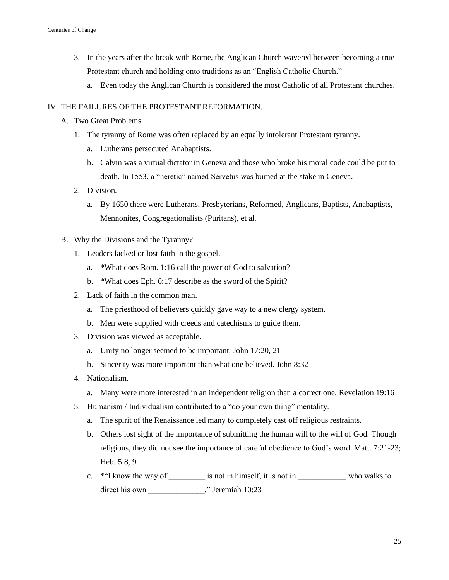- 3. In the years after the break with Rome, the Anglican Church wavered between becoming a true Protestant church and holding onto traditions as an "English Catholic Church."
	- a. Even today the Anglican Church is considered the most Catholic of all Protestant churches.

#### IV. THE FAILURES OF THE PROTESTANT REFORMATION.

- A. Two Great Problems.
	- 1. The tyranny of Rome was often replaced by an equally intolerant Protestant tyranny.
		- a. Lutherans persecuted Anabaptists.
		- b. Calvin was a virtual dictator in Geneva and those who broke his moral code could be put to death. In 1553, a "heretic" named Servetus was burned at the stake in Geneva.
	- 2. Division.
		- a. By 1650 there were Lutherans, Presbyterians, Reformed, Anglicans, Baptists, Anabaptists, Mennonites, Congregationalists (Puritans), et al.
- B. Why the Divisions and the Tyranny?
	- 1. Leaders lacked or lost faith in the gospel.
		- a. \*What does Rom. 1:16 call the power of God to salvation?
		- b. \*What does Eph. 6:17 describe as the sword of the Spirit?
	- 2. Lack of faith in the common man.
		- a. The priesthood of believers quickly gave way to a new clergy system.
		- b. Men were supplied with creeds and catechisms to guide them.
	- 3. Division was viewed as acceptable.
		- a. Unity no longer seemed to be important. John 17:20, 21
		- b. Sincerity was more important than what one believed. John 8:32
	- 4. Nationalism.
		- a. Many were more interested in an independent religion than a correct one. Revelation 19:16
	- 5. Humanism / Individualism contributed to a "do your own thing" mentality.
		- a. The spirit of the Renaissance led many to completely cast off religious restraints.
		- b. Others lost sight of the importance of submitting the human will to the will of God. Though religious, they did not see the importance of careful obedience to God's word. Matt. 7:21-23; Heb. 5:8, 9
		- c. \*"I know the way of \_\_\_\_\_\_\_\_\_\_ is not in himself; it is not in \_\_\_\_\_\_\_\_\_\_\_\_\_\_ who walks to direct his own \_\_\_\_\_\_\_\_\_\_\_\_\_." Jeremiah 10:23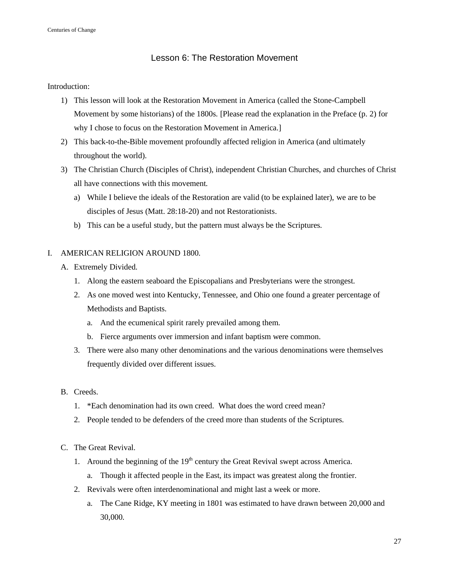# Lesson 6: The Restoration Movement

#### <span id="page-28-0"></span>Introduction:

- 1) This lesson will look at the Restoration Movement in America (called the Stone-Campbell Movement by some historians) of the 1800s. [Please read the explanation in the Preface (p. 2) for why I chose to focus on the Restoration Movement in America.]
- 2) This back-to-the-Bible movement profoundly affected religion in America (and ultimately throughout the world).
- 3) The Christian Church (Disciples of Christ), independent Christian Churches, and churches of Christ all have connections with this movement.
	- a) While I believe the ideals of the Restoration are valid (to be explained later), we are to be disciples of Jesus (Matt. 28:18-20) and not Restorationists.
	- b) This can be a useful study, but the pattern must always be the Scriptures.

#### I. AMERICAN RELIGION AROUND 1800.

- A. Extremely Divided.
	- 1. Along the eastern seaboard the Episcopalians and Presbyterians were the strongest.
	- 2. As one moved west into Kentucky, Tennessee, and Ohio one found a greater percentage of Methodists and Baptists.
		- a. And the ecumenical spirit rarely prevailed among them.
		- b. Fierce arguments over immersion and infant baptism were common.
	- 3. There were also many other denominations and the various denominations were themselves frequently divided over different issues.
- B. Creeds.
	- 1. \*Each denomination had its own creed. What does the word creed mean?
	- 2. People tended to be defenders of the creed more than students of the Scriptures.
- C. The Great Revival.
	- 1. Around the beginning of the  $19<sup>th</sup>$  century the Great Revival swept across America.
		- a. Though it affected people in the East, its impact was greatest along the frontier.
	- 2. Revivals were often interdenominational and might last a week or more.
		- a. The Cane Ridge, KY meeting in 1801 was estimated to have drawn between 20,000 and 30,000.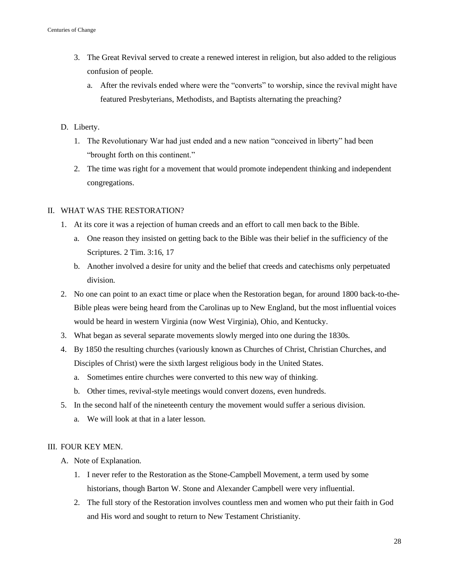- 3. The Great Revival served to create a renewed interest in religion, but also added to the religious confusion of people.
	- a. After the revivals ended where were the "converts" to worship, since the revival might have featured Presbyterians, Methodists, and Baptists alternating the preaching?
- D. Liberty.
	- 1. The Revolutionary War had just ended and a new nation "conceived in liberty" had been "brought forth on this continent."
	- 2. The time was right for a movement that would promote independent thinking and independent congregations.

#### II. WHAT WAS THE RESTORATION?

- 1. At its core it was a rejection of human creeds and an effort to call men back to the Bible.
	- a. One reason they insisted on getting back to the Bible was their belief in the sufficiency of the Scriptures. 2 Tim. 3:16, 17
	- b. Another involved a desire for unity and the belief that creeds and catechisms only perpetuated division.
- 2. No one can point to an exact time or place when the Restoration began, for around 1800 back-to-the-Bible pleas were being heard from the Carolinas up to New England, but the most influential voices would be heard in western Virginia (now West Virginia), Ohio, and Kentucky.
- 3. What began as several separate movements slowly merged into one during the 1830s.
- 4. By 1850 the resulting churches (variously known as Churches of Christ, Christian Churches, and Disciples of Christ) were the sixth largest religious body in the United States.
	- a. Sometimes entire churches were converted to this new way of thinking.
	- b. Other times, revival-style meetings would convert dozens, even hundreds.
- 5. In the second half of the nineteenth century the movement would suffer a serious division.
	- a. We will look at that in a later lesson.

#### III. FOUR KEY MEN.

- A. Note of Explanation.
	- 1. I never refer to the Restoration as the Stone-Campbell Movement, a term used by some historians, though Barton W. Stone and Alexander Campbell were very influential.
	- 2. The full story of the Restoration involves countless men and women who put their faith in God and His word and sought to return to New Testament Christianity.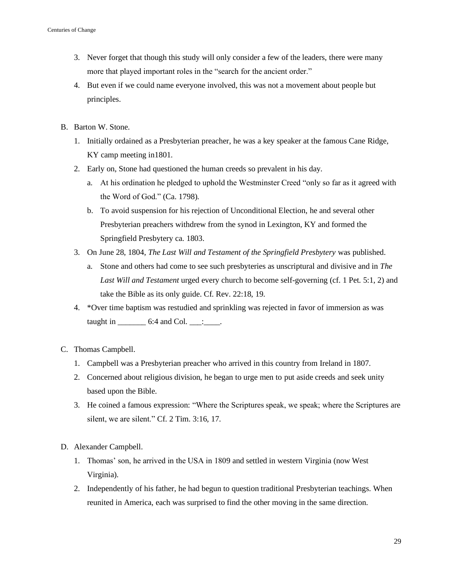- 3. Never forget that though this study will only consider a few of the leaders, there were many more that played important roles in the "search for the ancient order."
- 4. But even if we could name everyone involved, this was not a movement about people but principles.
- B. Barton W. Stone.
	- 1. Initially ordained as a Presbyterian preacher, he was a key speaker at the famous Cane Ridge, KY camp meeting in1801.
	- 2. Early on, Stone had questioned the human creeds so prevalent in his day.
		- a. At his ordination he pledged to uphold the Westminster Creed "only so far as it agreed with the Word of God." (Ca. 1798).
		- b. To avoid suspension for his rejection of Unconditional Election, he and several other Presbyterian preachers withdrew from the synod in Lexington, KY and formed the Springfield Presbytery ca. 1803.
	- 3. On June 28, 1804, *The Last Will and Testament of the Springfield Presbytery* was published.
		- a. Stone and others had come to see such presbyteries as unscriptural and divisive and in *The Last Will and Testament* urged every church to become self-governing (cf. 1 Pet. 5:1, 2) and take the Bible as its only guide. Cf. Rev. 22:18, 19.
	- 4. \*Over time baptism was restudied and sprinkling was rejected in favor of immersion as was taught in  $\_\_\_\_6:4$  and Col.  $\_\_\_\_\_\_\_\_\_\_\.$
- C. Thomas Campbell.
	- 1. Campbell was a Presbyterian preacher who arrived in this country from Ireland in 1807.
	- 2. Concerned about religious division, he began to urge men to put aside creeds and seek unity based upon the Bible.
	- 3. He coined a famous expression: "Where the Scriptures speak, we speak; where the Scriptures are silent, we are silent." Cf. 2 Tim. 3:16, 17.
- D. Alexander Campbell.
	- 1. Thomas' son, he arrived in the USA in 1809 and settled in western Virginia (now West Virginia).
	- 2. Independently of his father, he had begun to question traditional Presbyterian teachings. When reunited in America, each was surprised to find the other moving in the same direction.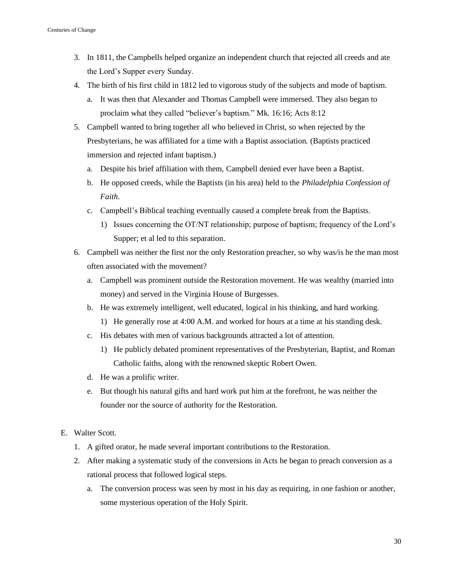- 3. In 1811, the Campbells helped organize an independent church that rejected all creeds and ate the Lord's Supper every Sunday.
- 4. The birth of his first child in 1812 led to vigorous study of the subjects and mode of baptism.
	- a. It was then that Alexander and Thomas Campbell were immersed. They also began to proclaim what they called "believer's baptism." Mk. 16:16; Acts 8:12
- 5. Campbell wanted to bring together all who believed in Christ, so when rejected by the Presbyterians, he was affiliated for a time with a Baptist association. (Baptists practiced immersion and rejected infant baptism.)
	- a. Despite his brief affiliation with them, Campbell denied ever have been a Baptist.
	- b. He opposed creeds, while the Baptists (in his area) held to the *Philadelphia Confession of Faith*.
	- c. Campbell's Biblical teaching eventually caused a complete break from the Baptists.
		- 1) Issues concerning the OT/NT relationship; purpose of baptism; frequency of the Lord's Supper; et al led to this separation.
- 6. Campbell was neither the first nor the only Restoration preacher, so why was/is he the man most often associated with the movement?
	- a. Campbell was prominent outside the Restoration movement. He was wealthy (married into money) and served in the Virginia House of Burgesses.
	- b. He was extremely intelligent, well educated, logical in his thinking, and hard working.
		- 1) He generally rose at 4:00 A.M. and worked for hours at a time at his standing desk.
	- c. His debates with men of various backgrounds attracted a lot of attention.
		- 1) He publicly debated prominent representatives of the Presbyterian, Baptist, and Roman Catholic faiths, along with the renowned skeptic Robert Owen.
	- d. He was a prolific writer.
	- e. But though his natural gifts and hard work put him at the forefront, he was neither the founder nor the source of authority for the Restoration.
- E. Walter Scott.
	- 1. A gifted orator, he made several important contributions to the Restoration.
	- 2. After making a systematic study of the conversions in Acts he began to preach conversion as a rational process that followed logical steps.
		- a. The conversion process was seen by most in his day as requiring, in one fashion or another, some mysterious operation of the Holy Spirit.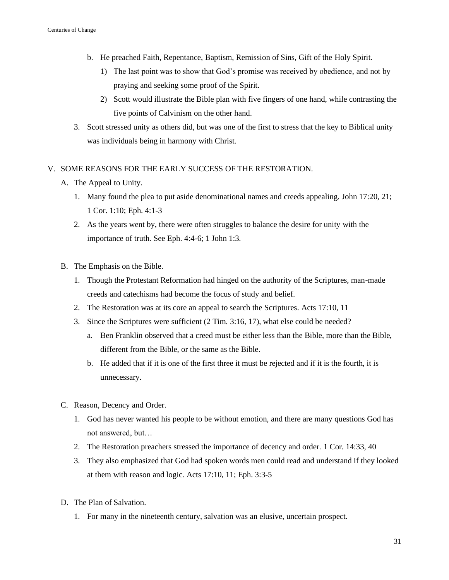- b. He preached Faith, Repentance, Baptism, Remission of Sins, Gift of the Holy Spirit.
	- 1) The last point was to show that God's promise was received by obedience, and not by praying and seeking some proof of the Spirit.
	- 2) Scott would illustrate the Bible plan with five fingers of one hand, while contrasting the five points of Calvinism on the other hand.
- 3. Scott stressed unity as others did, but was one of the first to stress that the key to Biblical unity was individuals being in harmony with Christ.

#### V. SOME REASONS FOR THE EARLY SUCCESS OF THE RESTORATION.

- A. The Appeal to Unity.
	- 1. Many found the plea to put aside denominational names and creeds appealing. John 17:20, 21; 1 Cor. 1:10; Eph. 4:1-3
	- 2. As the years went by, there were often struggles to balance the desire for unity with the importance of truth. See Eph. 4:4-6; 1 John 1:3.
- B. The Emphasis on the Bible.
	- 1. Though the Protestant Reformation had hinged on the authority of the Scriptures, man-made creeds and catechisms had become the focus of study and belief.
	- 2. The Restoration was at its core an appeal to search the Scriptures. Acts 17:10, 11
	- 3. Since the Scriptures were sufficient (2 Tim. 3:16, 17), what else could be needed?
		- a. Ben Franklin observed that a creed must be either less than the Bible, more than the Bible, different from the Bible, or the same as the Bible.
		- b. He added that if it is one of the first three it must be rejected and if it is the fourth, it is unnecessary.
- C. Reason, Decency and Order.
	- 1. God has never wanted his people to be without emotion, and there are many questions God has not answered, but…
	- 2. The Restoration preachers stressed the importance of decency and order. 1 Cor. 14:33, 40
	- 3. They also emphasized that God had spoken words men could read and understand if they looked at them with reason and logic. Acts 17:10, 11; Eph. 3:3-5
- D. The Plan of Salvation.
	- 1. For many in the nineteenth century, salvation was an elusive, uncertain prospect.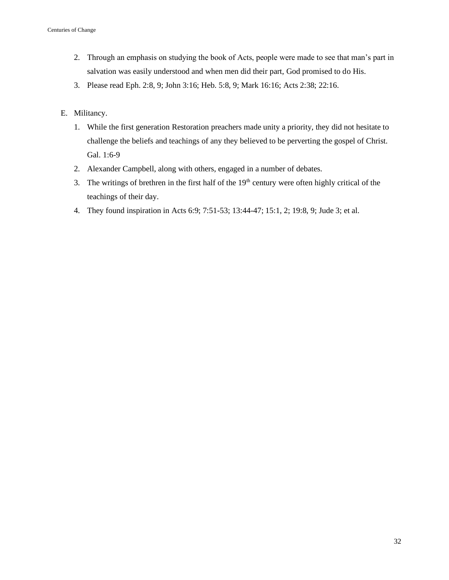- 2. Through an emphasis on studying the book of Acts, people were made to see that man's part in salvation was easily understood and when men did their part, God promised to do His.
- 3. Please read Eph. 2:8, 9; John 3:16; Heb. 5:8, 9; Mark 16:16; Acts 2:38; 22:16.
- E. Militancy.
	- 1. While the first generation Restoration preachers made unity a priority, they did not hesitate to challenge the beliefs and teachings of any they believed to be perverting the gospel of Christ. Gal. 1:6-9
	- 2. Alexander Campbell, along with others, engaged in a number of debates.
	- 3. The writings of brethren in the first half of the  $19<sup>th</sup>$  century were often highly critical of the teachings of their day.
	- 4. They found inspiration in Acts 6:9; 7:51-53; 13:44-47; 15:1, 2; 19:8, 9; Jude 3; et al.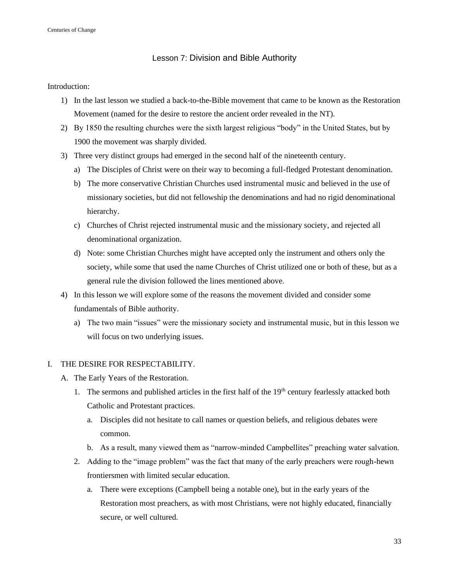# Lesson 7: Division and Bible Authority

#### <span id="page-34-0"></span>Introduction:

- 1) In the last lesson we studied a back-to-the-Bible movement that came to be known as the Restoration Movement (named for the desire to restore the ancient order revealed in the NT).
- 2) By 1850 the resulting churches were the sixth largest religious "body" in the United States, but by 1900 the movement was sharply divided.
- 3) Three very distinct groups had emerged in the second half of the nineteenth century.
	- a) The Disciples of Christ were on their way to becoming a full-fledged Protestant denomination.
	- b) The more conservative Christian Churches used instrumental music and believed in the use of missionary societies, but did not fellowship the denominations and had no rigid denominational hierarchy.
	- c) Churches of Christ rejected instrumental music and the missionary society, and rejected all denominational organization.
	- d) Note: some Christian Churches might have accepted only the instrument and others only the society, while some that used the name Churches of Christ utilized one or both of these, but as a general rule the division followed the lines mentioned above.
- 4) In this lesson we will explore some of the reasons the movement divided and consider some fundamentals of Bible authority.
	- a) The two main "issues" were the missionary society and instrumental music, but in this lesson we will focus on two underlying issues.

## I. THE DESIRE FOR RESPECTABILITY.

- A. The Early Years of the Restoration.
	- 1. The sermons and published articles in the first half of the  $19<sup>th</sup>$  century fearlessly attacked both Catholic and Protestant practices.
		- a. Disciples did not hesitate to call names or question beliefs, and religious debates were common.
		- b. As a result, many viewed them as "narrow-minded Campbellites" preaching water salvation.
	- 2. Adding to the "image problem" was the fact that many of the early preachers were rough-hewn frontiersmen with limited secular education.
		- a. There were exceptions (Campbell being a notable one), but in the early years of the Restoration most preachers, as with most Christians, were not highly educated, financially secure, or well cultured.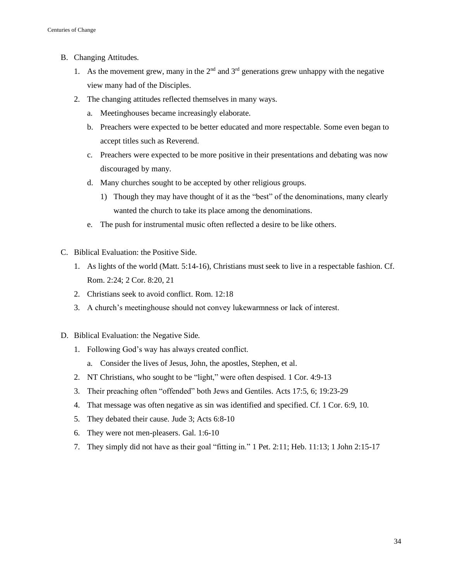- B. Changing Attitudes.
	- 1. As the movement grew, many in the  $2<sup>nd</sup>$  and  $3<sup>rd</sup>$  generations grew unhappy with the negative view many had of the Disciples.
	- 2. The changing attitudes reflected themselves in many ways.
		- a. Meetinghouses became increasingly elaborate.
		- b. Preachers were expected to be better educated and more respectable. Some even began to accept titles such as Reverend.
		- c. Preachers were expected to be more positive in their presentations and debating was now discouraged by many.
		- d. Many churches sought to be accepted by other religious groups.
			- 1) Though they may have thought of it as the "best" of the denominations, many clearly wanted the church to take its place among the denominations.
		- e. The push for instrumental music often reflected a desire to be like others.
- C. Biblical Evaluation: the Positive Side.
	- 1. As lights of the world (Matt. 5:14-16), Christians must seek to live in a respectable fashion. Cf. Rom. 2:24; 2 Cor. 8:20, 21
	- 2. Christians seek to avoid conflict. Rom. 12:18
	- 3. A church's meetinghouse should not convey lukewarmness or lack of interest.
- D. Biblical Evaluation: the Negative Side.
	- 1. Following God's way has always created conflict.
		- a. Consider the lives of Jesus, John, the apostles, Stephen, et al.
	- 2. NT Christians, who sought to be "light," were often despised. 1 Cor. 4:9-13
	- 3. Their preaching often "offended" both Jews and Gentiles. Acts 17:5, 6; 19:23-29
	- 4. That message was often negative as sin was identified and specified. Cf. 1 Cor. 6:9, 10.
	- 5. They debated their cause. Jude 3; Acts 6:8-10
	- 6. They were not men-pleasers. Gal. 1:6-10
	- 7. They simply did not have as their goal "fitting in." 1 Pet. 2:11; Heb. 11:13; 1 John 2:15-17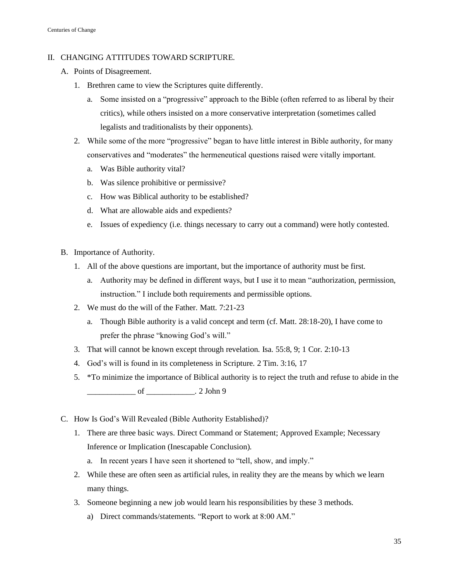### II. CHANGING ATTITUDES TOWARD SCRIPTURE.

- A. Points of Disagreement.
	- 1. Brethren came to view the Scriptures quite differently.
		- a. Some insisted on a "progressive" approach to the Bible (often referred to as liberal by their critics), while others insisted on a more conservative interpretation (sometimes called legalists and traditionalists by their opponents).
	- 2. While some of the more "progressive" began to have little interest in Bible authority, for many conservatives and "moderates" the hermeneutical questions raised were vitally important.
		- a. Was Bible authority vital?
		- b. Was silence prohibitive or permissive?
		- c. How was Biblical authority to be established?
		- d. What are allowable aids and expedients?
		- e. Issues of expediency (i.e. things necessary to carry out a command) were hotly contested.
- B. Importance of Authority.
	- 1. All of the above questions are important, but the importance of authority must be first.
		- a. Authority may be defined in different ways, but I use it to mean "authorization, permission, instruction." I include both requirements and permissible options.
	- 2. We must do the will of the Father. Matt. 7:21-23
		- a. Though Bible authority is a valid concept and term (cf. Matt. 28:18-20), I have come to prefer the phrase "knowing God's will."
	- 3. That will cannot be known except through revelation. Isa. 55:8, 9; 1 Cor. 2:10-13
	- 4. God's will is found in its completeness in Scripture. 2 Tim. 3:16, 17
	- 5. \*To minimize the importance of Biblical authority is to reject the truth and refuse to abide in the  $\circ$  of  $\qquad \qquad .\ 2$  John 9
- C. How Is God's Will Revealed (Bible Authority Established)?
	- 1. There are three basic ways. Direct Command or Statement; Approved Example; Necessary Inference or Implication (Inescapable Conclusion).
		- a. In recent years I have seen it shortened to "tell, show, and imply."
	- 2. While these are often seen as artificial rules, in reality they are the means by which we learn many things.
	- 3. Someone beginning a new job would learn his responsibilities by these 3 methods.
		- a) Direct commands/statements. "Report to work at 8:00 AM."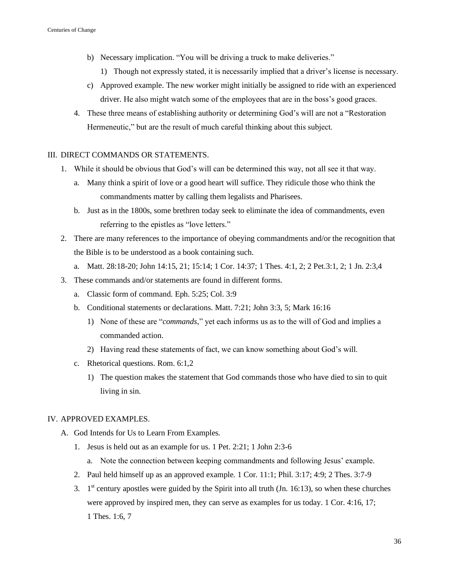- b) Necessary implication. "You will be driving a truck to make deliveries."
	- 1) Though not expressly stated, it is necessarily implied that a driver's license is necessary.
- c) Approved example. The new worker might initially be assigned to ride with an experienced driver. He also might watch some of the employees that are in the boss's good graces.
- 4. These three means of establishing authority or determining God's will are not a "Restoration Hermeneutic," but are the result of much careful thinking about this subject.

#### III. DIRECT COMMANDS OR STATEMENTS.

- 1. While it should be obvious that God's will can be determined this way, not all see it that way.
	- a. Many think a spirit of love or a good heart will suffice. They ridicule those who think the commandments matter by calling them legalists and Pharisees.
	- b. Just as in the 1800s, some brethren today seek to eliminate the idea of commandments, even referring to the epistles as "love letters."
- 2. There are many references to the importance of obeying commandments and/or the recognition that the Bible is to be understood as a book containing such.
	- a. Matt. 28:18-20; John 14:15, 21; 15:14; 1 Cor. 14:37; 1 Thes. 4:1, 2; 2 Pet.3:1, 2; 1 Jn. 2:3,4
- 3. These commands and/or statements are found in different forms.
	- a. Classic form of command. Eph. 5:25; Col. 3:9
	- b. Conditional statements or declarations. Matt. 7:21; John 3:3, 5; Mark 16:16
		- 1) None of these are "*commands*," yet each informs us as to the will of God and implies a commanded action.
		- 2) Having read these statements of fact, we can know something about God's will.
	- c. Rhetorical questions. Rom. 6:1,2
		- 1) The question makes the statement that God commands those who have died to sin to quit living in sin.

## IV. APPROVED EXAMPLES.

- A. God Intends for Us to Learn From Examples.
	- 1. Jesus is held out as an example for us. 1 Pet. 2:21; 1 John 2:3-6
		- a. Note the connection between keeping commandments and following Jesus' example.
	- 2. Paul held himself up as an approved example. 1 Cor. 11:1; Phil. 3:17; 4:9; 2 Thes. 3:7-9
	- 3.  $1<sup>st</sup>$  century apostles were guided by the Spirit into all truth (Jn. 16:13), so when these churches were approved by inspired men, they can serve as examples for us today. 1 Cor. 4:16, 17; 1 Thes. 1:6, 7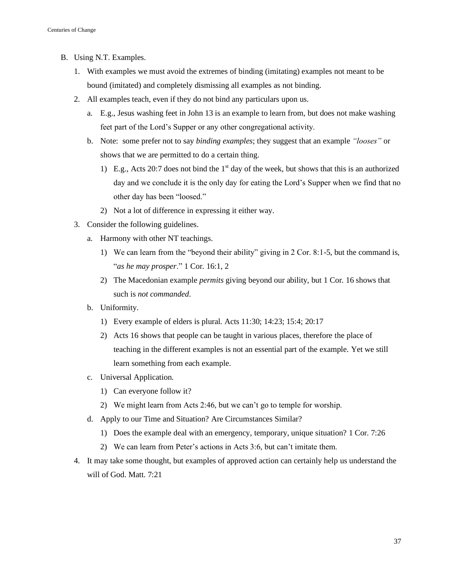- B. Using N.T. Examples.
	- 1. With examples we must avoid the extremes of binding (imitating) examples not meant to be bound (imitated) and completely dismissing all examples as not binding.
	- 2. All examples teach, even if they do not bind any particulars upon us.
		- a. E.g., Jesus washing feet in John 13 is an example to learn from, but does not make washing feet part of the Lord's Supper or any other congregational activity.
		- b. Note: some prefer not to say *binding examples*; they suggest that an example *"looses"* or shows that we are permitted to do a certain thing.
			- 1) E.g., Acts 20:7 does not bind the  $1<sup>st</sup>$  day of the week, but shows that this is an authorized day and we conclude it is the only day for eating the Lord's Supper when we find that no other day has been "loosed."
			- 2) Not a lot of difference in expressing it either way.
	- 3. Consider the following guidelines.
		- a. Harmony with other NT teachings.
			- 1) We can learn from the "beyond their ability" giving in 2 Cor. 8:1-5, but the command is, "*as he may prosper*." 1 Cor. 16:1, 2
			- 2) The Macedonian example *permits* giving beyond our ability, but 1 Cor. 16 shows that such is *not commanded*.
		- b. Uniformity.
			- 1) Every example of elders is plural. Acts 11:30; 14:23; 15:4; 20:17
			- 2) Acts 16 shows that people can be taught in various places, therefore the place of teaching in the different examples is not an essential part of the example. Yet we still learn something from each example.
		- c. Universal Application.
			- 1) Can everyone follow it?
			- 2) We might learn from Acts 2:46, but we can't go to temple for worship.
		- d. Apply to our Time and Situation? Are Circumstances Similar?
			- 1) Does the example deal with an emergency, temporary, unique situation? 1 Cor. 7:26
			- 2) We can learn from Peter's actions in Acts 3:6, but can't imitate them.
	- 4. It may take some thought, but examples of approved action can certainly help us understand the will of God. Matt. 7:21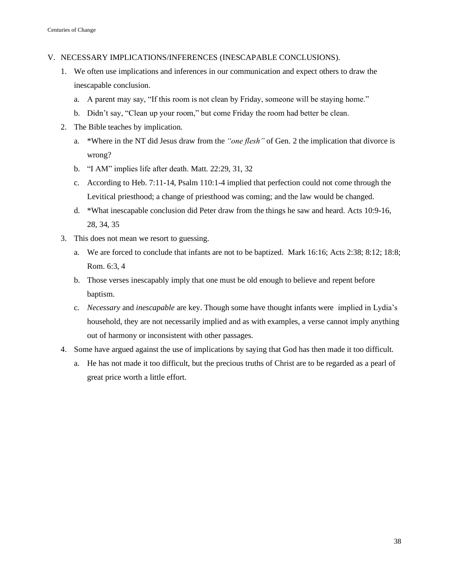- V. NECESSARY IMPLICATIONS/INFERENCES (INESCAPABLE CONCLUSIONS).
	- 1. We often use implications and inferences in our communication and expect others to draw the inescapable conclusion.
		- a. A parent may say, "If this room is not clean by Friday, someone will be staying home."
		- b. Didn't say, "Clean up your room," but come Friday the room had better be clean.
	- 2. The Bible teaches by implication.
		- a. \*Where in the NT did Jesus draw from the *"one flesh"* of Gen. 2 the implication that divorce is wrong?
		- b. "I AM" implies life after death. Matt. 22:29, 31, 32
		- c. According to Heb. 7:11-14, Psalm 110:1-4 implied that perfection could not come through the Levitical priesthood; a change of priesthood was coming; and the law would be changed.
		- d. \*What inescapable conclusion did Peter draw from the things he saw and heard. Acts 10:9-16, 28, 34, 35
	- 3. This does not mean we resort to guessing.
		- a. We are forced to conclude that infants are not to be baptized. Mark 16:16; Acts 2:38; 8:12; 18:8; Rom. 6:3, 4
		- b. Those verses inescapably imply that one must be old enough to believe and repent before baptism.
		- c. *Necessary* and *inescapable* are key. Though some have thought infants were implied in Lydia's household, they are not necessarily implied and as with examples, a verse cannot imply anything out of harmony or inconsistent with other passages.
	- 4. Some have argued against the use of implications by saying that God has then made it too difficult.
		- a. He has not made it too difficult, but the precious truths of Christ are to be regarded as a pearl of great price worth a little effort.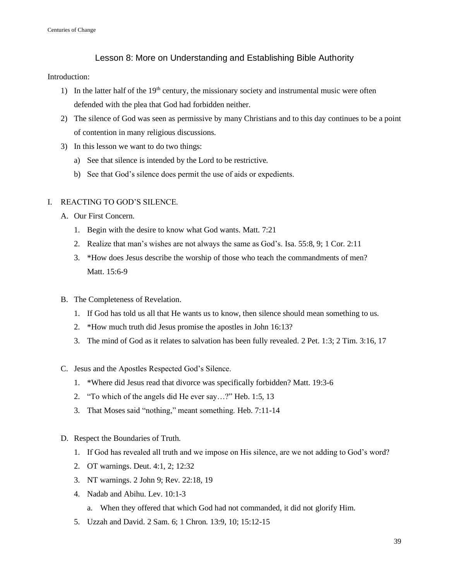# Lesson 8: More on Understanding and Establishing Bible Authority

## Introduction:

- 1) In the latter half of the  $19<sup>th</sup>$  century, the missionary society and instrumental music were often defended with the plea that God had forbidden neither.
- 2) The silence of God was seen as permissive by many Christians and to this day continues to be a point of contention in many religious discussions.
- 3) In this lesson we want to do two things:
	- a) See that silence is intended by the Lord to be restrictive.
	- b) See that God's silence does permit the use of aids or expedients.

## I. REACTING TO GOD'S SILENCE.

- A. Our First Concern.
	- 1. Begin with the desire to know what God wants. Matt. 7:21
	- 2. Realize that man's wishes are not always the same as God's. Isa. 55:8, 9; 1 Cor. 2:11
	- 3. \*How does Jesus describe the worship of those who teach the commandments of men? Matt. 15:6-9
- B. The Completeness of Revelation.
	- 1. If God has told us all that He wants us to know, then silence should mean something to us.
	- 2. \*How much truth did Jesus promise the apostles in John 16:13?
	- 3. The mind of God as it relates to salvation has been fully revealed. 2 Pet. 1:3; 2 Tim. 3:16, 17
- C. Jesus and the Apostles Respected God's Silence.
	- 1. \*Where did Jesus read that divorce was specifically forbidden? Matt. 19:3-6
	- 2. "To which of the angels did He ever say…?" Heb. 1:5, 13
	- 3. That Moses said "nothing," meant something. Heb. 7:11-14
- D. Respect the Boundaries of Truth.
	- 1. If God has revealed all truth and we impose on His silence, are we not adding to God's word?
	- 2. OT warnings. Deut. 4:1, 2; 12:32
	- 3. NT warnings. 2 John 9; Rev. 22:18, 19
	- 4. Nadab and Abihu. Lev. 10:1-3
		- a. When they offered that which God had not commanded, it did not glorify Him.
	- 5. Uzzah and David. 2 Sam. 6; 1 Chron. 13:9, 10; 15:12-15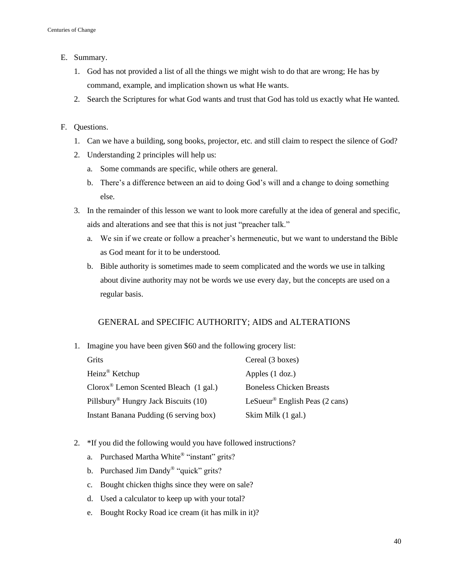- E. Summary.
	- 1. God has not provided a list of all the things we might wish to do that are wrong; He has by command, example, and implication shown us what He wants.
	- 2. Search the Scriptures for what God wants and trust that God has told us exactly what He wanted.
- F. Questions.
	- 1. Can we have a building, song books, projector, etc. and still claim to respect the silence of God?
	- 2. Understanding 2 principles will help us:
		- a. Some commands are specific, while others are general.
		- b. There's a difference between an aid to doing God's will and a change to doing something else.
	- 3. In the remainder of this lesson we want to look more carefully at the idea of general and specific, aids and alterations and see that this is not just "preacher talk."
		- a. We sin if we create or follow a preacher's hermeneutic, but we want to understand the Bible as God meant for it to be understood.
		- b. Bible authority is sometimes made to seem complicated and the words we use in talking about divine authority may not be words we use every day, but the concepts are used on a regular basis.

## GENERAL and SPECIFIC AUTHORITY; AIDS and ALTERATIONS

1. Imagine you have been given \$60 and the following grocery list:

| Grits                                                        | Cereal (3 boxes)                                     |
|--------------------------------------------------------------|------------------------------------------------------|
| Heinz <sup>®</sup> Ketchup                                   | Apples $(1 \text{ doz.})$                            |
| $\text{Clorox}^{\circledcirc}$ Lemon Scented Bleach (1 gal.) | <b>Boneless Chicken Breasts</b>                      |
| Pillsbury <sup>®</sup> Hungry Jack Biscuits (10)             | LeSueur <sup>®</sup> English Peas $(2 \text{ cans})$ |
| Instant Banana Pudding (6 serving box)                       | Skim Milk (1 gal.)                                   |

- 2. \*If you did the following would you have followed instructions?
	- a. Purchased Martha White® "instant" grits?
	- b. Purchased Jim Dandy<sup>®</sup> "quick" grits?
	- c. Bought chicken thighs since they were on sale?
	- d. Used a calculator to keep up with your total?
	- e. Bought Rocky Road ice cream (it has milk in it)?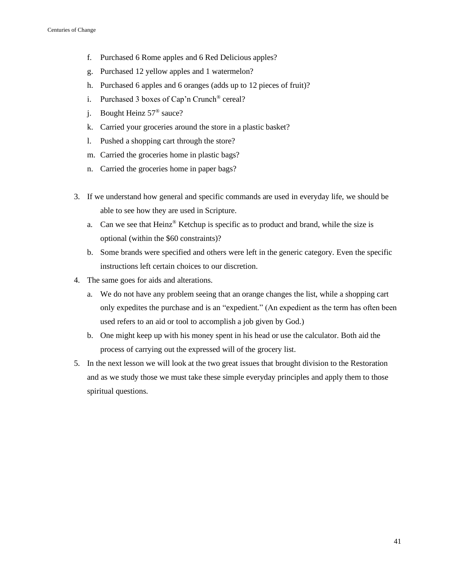- f. Purchased 6 Rome apples and 6 Red Delicious apples?
- g. Purchased 12 yellow apples and 1 watermelon?
- h. Purchased 6 apples and 6 oranges (adds up to 12 pieces of fruit)?
- i. Purchased 3 boxes of Cap'n Crunch<sup>®</sup> cereal?
- j. Bought Heinz 57<sup>®</sup> sauce?
- k. Carried your groceries around the store in a plastic basket?
- l. Pushed a shopping cart through the store?
- m. Carried the groceries home in plastic bags?
- n. Carried the groceries home in paper bags?
- 3. If we understand how general and specific commands are used in everyday life, we should be able to see how they are used in Scripture.
	- a. Can we see that Heinz® Ketchup is specific as to product and brand, while the size is optional (within the \$60 constraints)?
	- b. Some brands were specified and others were left in the generic category. Even the specific instructions left certain choices to our discretion.
- 4. The same goes for aids and alterations.
	- a. We do not have any problem seeing that an orange changes the list, while a shopping cart only expedites the purchase and is an "expedient." (An expedient as the term has often been used refers to an aid or tool to accomplish a job given by God.)
	- b. One might keep up with his money spent in his head or use the calculator. Both aid the process of carrying out the expressed will of the grocery list.
- 5. In the next lesson we will look at the two great issues that brought division to the Restoration and as we study those we must take these simple everyday principles and apply them to those spiritual questions.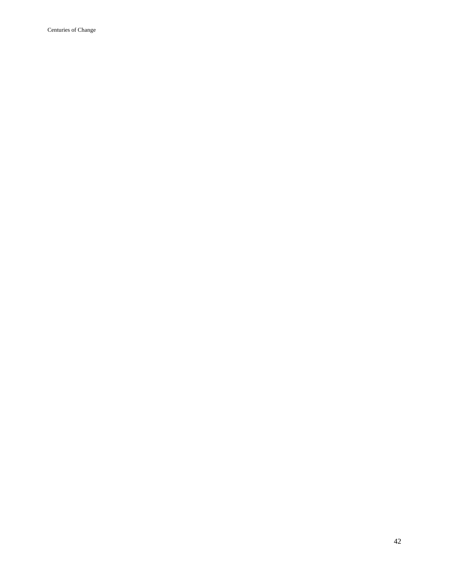Centuries of Change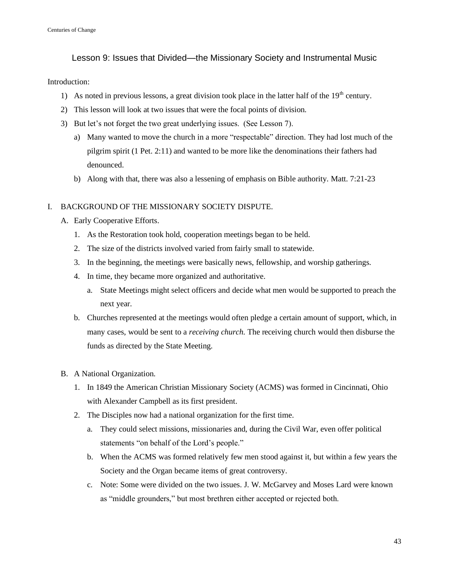Lesson 9: Issues that Divided—the Missionary Society and Instrumental Music

#### Introduction:

- 1) As noted in previous lessons, a great division took place in the latter half of the  $19<sup>th</sup>$  century.
- 2) This lesson will look at two issues that were the focal points of division.
- 3) But let's not forget the two great underlying issues. (See Lesson 7).
	- a) Many wanted to move the church in a more "respectable" direction. They had lost much of the pilgrim spirit (1 Pet. 2:11) and wanted to be more like the denominations their fathers had denounced.
	- b) Along with that, there was also a lessening of emphasis on Bible authority. Matt. 7:21-23

## I. BACKGROUND OF THE MISSIONARY SOCIETY DISPUTE.

- A. Early Cooperative Efforts.
	- 1. As the Restoration took hold, cooperation meetings began to be held.
	- 2. The size of the districts involved varied from fairly small to statewide.
	- 3. In the beginning, the meetings were basically news, fellowship, and worship gatherings.
	- 4. In time, they became more organized and authoritative.
		- a. State Meetings might select officers and decide what men would be supported to preach the next year.
	- b. Churches represented at the meetings would often pledge a certain amount of support, which, in many cases, would be sent to a *receiving church*. The receiving church would then disburse the funds as directed by the State Meeting.
- B. A National Organization.
	- 1. In 1849 the American Christian Missionary Society (ACMS) was formed in Cincinnati, Ohio with Alexander Campbell as its first president.
	- 2. The Disciples now had a national organization for the first time.
		- a. They could select missions, missionaries and, during the Civil War, even offer political statements "on behalf of the Lord's people."
		- b. When the ACMS was formed relatively few men stood against it, but within a few years the Society and the Organ became items of great controversy.
		- c. Note: Some were divided on the two issues. J. W. McGarvey and Moses Lard were known as "middle grounders," but most brethren either accepted or rejected both.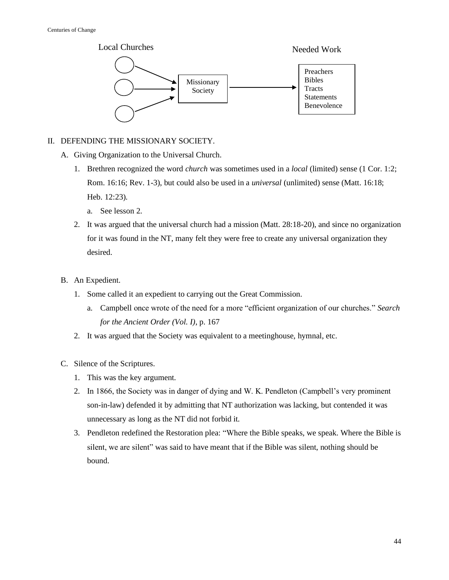

## II. DEFENDING THE MISSIONARY SOCIETY.

- A. Giving Organization to the Universal Church.
	- 1. Brethren recognized the word *church* was sometimes used in a *local* (limited) sense (1 Cor. 1:2; Rom. 16:16; Rev. 1-3), but could also be used in a *universal* (unlimited) sense (Matt. 16:18; Heb. 12:23).
		- a. See lesson 2.
	- 2. It was argued that the universal church had a mission (Matt. 28:18-20), and since no organization for it was found in the NT, many felt they were free to create any universal organization they desired.
- B. An Expedient.
	- 1. Some called it an expedient to carrying out the Great Commission.
		- a. Campbell once wrote of the need for a more "efficient organization of our churches." *Search for the Ancient Order (Vol. I)*, p. 167
	- 2. It was argued that the Society was equivalent to a meetinghouse, hymnal, etc.
- C. Silence of the Scriptures.
	- 1. This was the key argument.
	- 2. In 1866, the Society was in danger of dying and W. K. Pendleton (Campbell's very prominent son-in-law) defended it by admitting that NT authorization was lacking, but contended it was unnecessary as long as the NT did not forbid it.
	- 3. Pendleton redefined the Restoration plea: "Where the Bible speaks, we speak. Where the Bible is silent, we are silent" was said to have meant that if the Bible was silent, nothing should be bound.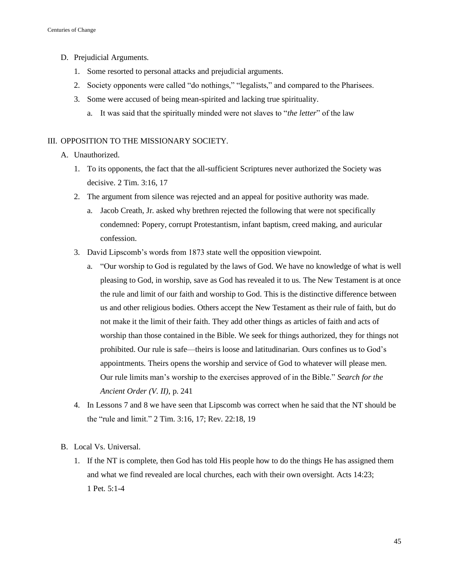- D. Prejudicial Arguments.
	- 1. Some resorted to personal attacks and prejudicial arguments.
	- 2. Society opponents were called "do nothings," "legalists," and compared to the Pharisees.
	- 3. Some were accused of being mean-spirited and lacking true spirituality.
		- a. It was said that the spiritually minded were not slaves to "*the letter*" of the law

#### III. OPPOSITION TO THE MISSIONARY SOCIETY.

#### A. Unauthorized.

- 1. To its opponents, the fact that the all-sufficient Scriptures never authorized the Society was decisive. 2 Tim. 3:16, 17
- 2. The argument from silence was rejected and an appeal for positive authority was made.
	- a. Jacob Creath, Jr. asked why brethren rejected the following that were not specifically condemned: Popery, corrupt Protestantism, infant baptism, creed making, and auricular confession.
- 3. David Lipscomb's words from 1873 state well the opposition viewpoint.
	- a. "Our worship to God is regulated by the laws of God. We have no knowledge of what is well pleasing to God, in worship, save as God has revealed it to us. The New Testament is at once the rule and limit of our faith and worship to God. This is the distinctive difference between us and other religious bodies. Others accept the New Testament as their rule of faith, but do not make it the limit of their faith. They add other things as articles of faith and acts of worship than those contained in the Bible. We seek for things authorized, they for things not prohibited. Our rule is safe—theirs is loose and latitudinarian. Ours confines us to God's appointments. Theirs opens the worship and service of God to whatever will please men. Our rule limits man's worship to the exercises approved of in the Bible." *Search for the Ancient Order (V. II)*, p. 241
- 4. In Lessons 7 and 8 we have seen that Lipscomb was correct when he said that the NT should be the "rule and limit." 2 Tim. 3:16, 17; Rev. 22:18, 19
- B. Local Vs. Universal.
	- 1. If the NT is complete, then God has told His people how to do the things He has assigned them and what we find revealed are local churches, each with their own oversight. Acts 14:23; 1 Pet. 5:1-4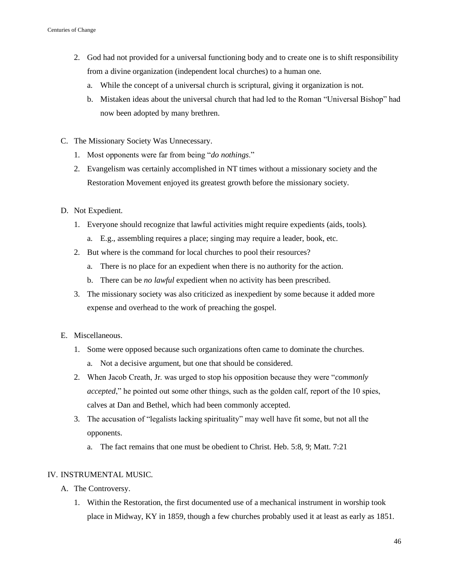- 2. God had not provided for a universal functioning body and to create one is to shift responsibility from a divine organization (independent local churches) to a human one.
	- a. While the concept of a universal church is scriptural, giving it organization is not.
	- b. Mistaken ideas about the universal church that had led to the Roman "Universal Bishop" had now been adopted by many brethren.
- C. The Missionary Society Was Unnecessary.
	- 1. Most opponents were far from being "*do nothings*."
	- 2. Evangelism was certainly accomplished in NT times without a missionary society and the Restoration Movement enjoyed its greatest growth before the missionary society.
- D. Not Expedient.
	- 1. Everyone should recognize that lawful activities might require expedients (aids, tools).
		- a. E.g., assembling requires a place; singing may require a leader, book, etc.
	- 2. But where is the command for local churches to pool their resources?
		- a. There is no place for an expedient when there is no authority for the action.
		- b. There can be *no lawful* expedient when no activity has been prescribed.
	- 3. The missionary society was also criticized as inexpedient by some because it added more expense and overhead to the work of preaching the gospel.
- E. Miscellaneous.
	- 1. Some were opposed because such organizations often came to dominate the churches.
		- a. Not a decisive argument, but one that should be considered.
	- 2. When Jacob Creath, Jr. was urged to stop his opposition because they were "*commonly accepted*," he pointed out some other things, such as the golden calf, report of the 10 spies, calves at Dan and Bethel, which had been commonly accepted.
	- 3. The accusation of "legalists lacking spirituality" may well have fit some, but not all the opponents.
		- a. The fact remains that one must be obedient to Christ. Heb. 5:8, 9; Matt. 7:21

#### IV. INSTRUMENTAL MUSIC.

- A. The Controversy.
	- 1. Within the Restoration, the first documented use of a mechanical instrument in worship took place in Midway, KY in 1859, though a few churches probably used it at least as early as 1851.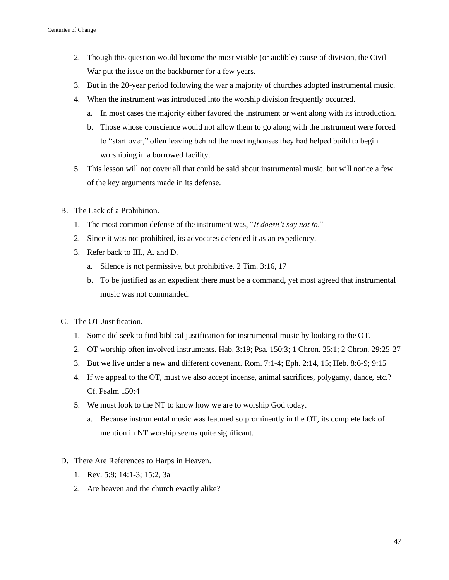- 2. Though this question would become the most visible (or audible) cause of division, the Civil War put the issue on the backburner for a few years.
- 3. But in the 20-year period following the war a majority of churches adopted instrumental music.
- 4. When the instrument was introduced into the worship division frequently occurred.
	- a. In most cases the majority either favored the instrument or went along with its introduction.
	- b. Those whose conscience would not allow them to go along with the instrument were forced to "start over," often leaving behind the meetinghouses they had helped build to begin worshiping in a borrowed facility.
- 5. This lesson will not cover all that could be said about instrumental music, but will notice a few of the key arguments made in its defense.
- B. The Lack of a Prohibition.
	- 1. The most common defense of the instrument was, "*It doesn't say not to*."
	- 2. Since it was not prohibited, its advocates defended it as an expediency.
	- 3. Refer back to III., A. and D.
		- a. Silence is not permissive, but prohibitive. 2 Tim. 3:16, 17
		- b. To be justified as an expedient there must be a command, yet most agreed that instrumental music was not commanded.
- C. The OT Justification.
	- 1. Some did seek to find biblical justification for instrumental music by looking to the OT.
	- 2. OT worship often involved instruments. Hab. 3:19; Psa. 150:3; 1 Chron. 25:1; 2 Chron. 29:25-27
	- 3. But we live under a new and different covenant. Rom. 7:1-4; Eph. 2:14, 15; Heb. 8:6-9; 9:15
	- 4. If we appeal to the OT, must we also accept incense, animal sacrifices, polygamy, dance, etc.? Cf. Psalm 150:4
	- 5. We must look to the NT to know how we are to worship God today.
		- a. Because instrumental music was featured so prominently in the OT, its complete lack of mention in NT worship seems quite significant.
- D. There Are References to Harps in Heaven.
	- 1. Rev. 5:8; 14:1-3; 15:2, 3a
	- 2. Are heaven and the church exactly alike?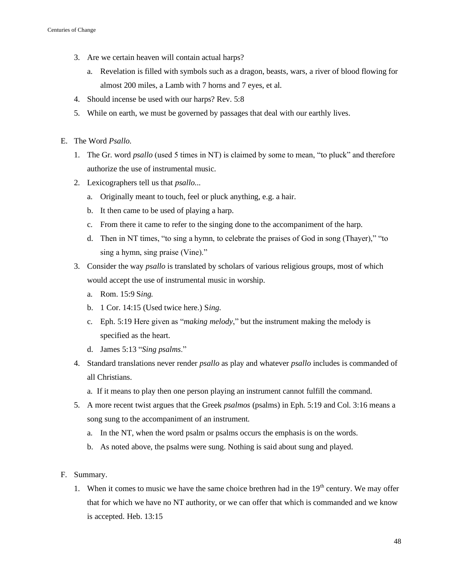- 3. Are we certain heaven will contain actual harps?
	- a. Revelation is filled with symbols such as a dragon, beasts, wars, a river of blood flowing for almost 200 miles, a Lamb with 7 horns and 7 eyes, et al.
- 4. Should incense be used with our harps? Rev. 5:8
- 5. While on earth, we must be governed by passages that deal with our earthly lives.
- E. The Word *Psallo*.
	- 1. The Gr. word *psallo* (used 5 times in NT) is claimed by some to mean, "to pluck" and therefore authorize the use of instrumental music.
	- 2. Lexicographers tell us that *psallo*...
		- a. Originally meant to touch, feel or pluck anything, e.g. a hair.
		- b. It then came to be used of playing a harp.
		- c. From there it came to refer to the singing done to the accompaniment of the harp.
		- d. Then in NT times, "to sing a hymn, to celebrate the praises of God in song (Thayer)," "to sing a hymn, sing praise (Vine)."
	- 3. Consider the way *psallo* is translated by scholars of various religious groups, most of which would accept the use of instrumental music in worship.
		- a. Rom. 15:9 S*ing.*
		- b. 1 Cor. 14:15 (Used twice here.) S*ing*.
		- c. Eph. 5:19 Here given as "*making melody*," but the instrument making the melody is specified as the heart.
		- d. James 5:13 "*Sing psalms*."
	- 4. Standard translations never render *psallo* as play and whatever *psallo* includes is commanded of all Christians.
		- a. If it means to play then one person playing an instrument cannot fulfill the command.
	- 5. A more recent twist argues that the Greek *psalmos* (psalms) in Eph. 5:19 and Col. 3:16 means a song sung to the accompaniment of an instrument.
		- a. In the NT, when the word psalm or psalms occurs the emphasis is on the words.
		- b. As noted above, the psalms were sung. Nothing is said about sung and played.
- F. Summary.
	- 1. When it comes to music we have the same choice brethren had in the  $19<sup>th</sup>$  century. We may offer that for which we have no NT authority, or we can offer that which is commanded and we know is accepted. Heb. 13:15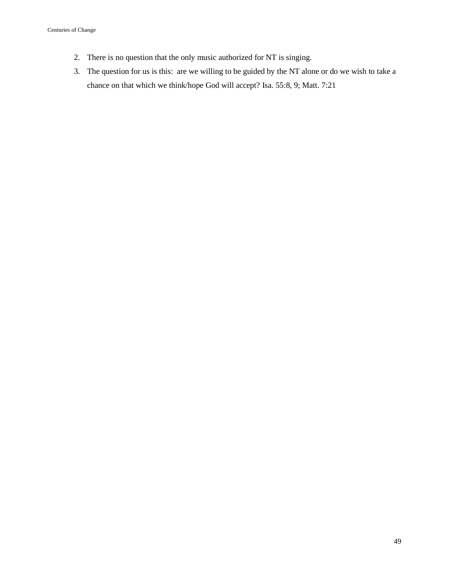- 2. There is no question that the only music authorized for NT is singing.
- 3. The question for us is this: are we willing to be guided by the NT alone or do we wish to take a chance on that which we think/hope God will accept? Isa. 55:8, 9; Matt. 7:21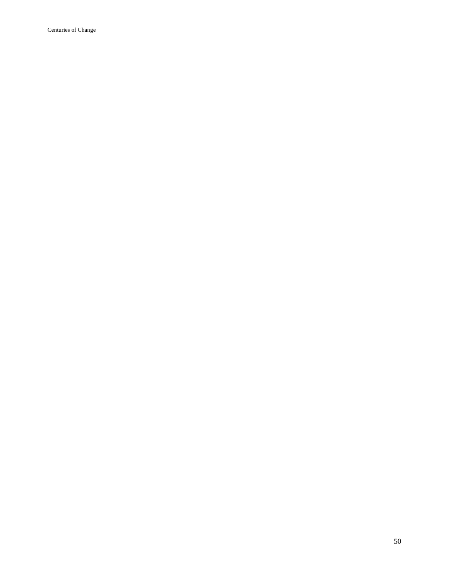Centuries of Change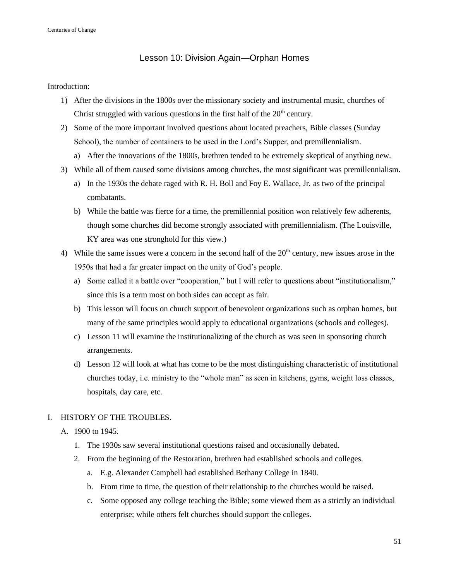## Lesson 10: Division Again—Orphan Homes

## Introduction:

- 1) After the divisions in the 1800s over the missionary society and instrumental music, churches of Christ struggled with various questions in the first half of the  $20<sup>th</sup>$  century.
- 2) Some of the more important involved questions about located preachers, Bible classes (Sunday School), the number of containers to be used in the Lord's Supper, and premillennialism.
	- a) After the innovations of the 1800s, brethren tended to be extremely skeptical of anything new.
- 3) While all of them caused some divisions among churches, the most significant was premillennialism.
	- a) In the 1930s the debate raged with R. H. Boll and Foy E. Wallace, Jr. as two of the principal combatants.
	- b) While the battle was fierce for a time, the premillennial position won relatively few adherents, though some churches did become strongly associated with premillennialism. (The Louisville, KY area was one stronghold for this view.)
- 4) While the same issues were a concern in the second half of the  $20<sup>th</sup>$  century, new issues arose in the 1950s that had a far greater impact on the unity of God's people.
	- a) Some called it a battle over "cooperation," but I will refer to questions about "institutionalism," since this is a term most on both sides can accept as fair.
	- b) This lesson will focus on church support of benevolent organizations such as orphan homes, but many of the same principles would apply to educational organizations (schools and colleges).
	- c) Lesson 11 will examine the institutionalizing of the church as was seen in sponsoring church arrangements.
	- d) Lesson 12 will look at what has come to be the most distinguishing characteristic of institutional churches today, i.e. ministry to the "whole man" as seen in kitchens, gyms, weight loss classes, hospitals, day care, etc.

#### I. HISTORY OF THE TROUBLES.

- A. 1900 to 1945.
	- 1. The 1930s saw several institutional questions raised and occasionally debated.
	- 2. From the beginning of the Restoration, brethren had established schools and colleges.
		- a. E.g. Alexander Campbell had established Bethany College in 1840.
		- b. From time to time, the question of their relationship to the churches would be raised.
		- c. Some opposed any college teaching the Bible; some viewed them as a strictly an individual enterprise; while others felt churches should support the colleges.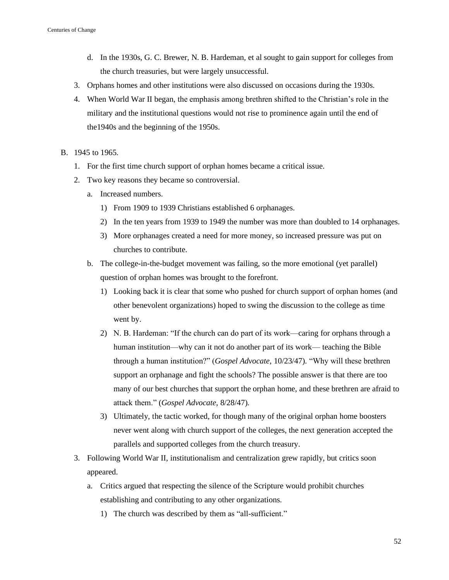- d. In the 1930s, G. C. Brewer, N. B. Hardeman, et al sought to gain support for colleges from the church treasuries, but were largely unsuccessful.
- 3. Orphans homes and other institutions were also discussed on occasions during the 1930s.
- 4. When World War II began, the emphasis among brethren shifted to the Christian's role in the military and the institutional questions would not rise to prominence again until the end of the1940s and the beginning of the 1950s.
- B. 1945 to 1965.
	- 1. For the first time church support of orphan homes became a critical issue.
	- 2. Two key reasons they became so controversial.
		- a. Increased numbers.
			- 1) From 1909 to 1939 Christians established 6 orphanages.
			- 2) In the ten years from 1939 to 1949 the number was more than doubled to 14 orphanages.
			- 3) More orphanages created a need for more money, so increased pressure was put on churches to contribute.
		- b. The college-in-the-budget movement was failing, so the more emotional (yet parallel) question of orphan homes was brought to the forefront.
			- 1) Looking back it is clear that some who pushed for church support of orphan homes (and other benevolent organizations) hoped to swing the discussion to the college as time went by.
			- 2) N. B. Hardeman: "If the church can do part of its work—caring for orphans through a human institution—why can it not do another part of its work— teaching the Bible through a human institution?" (*Gospel Advocate*, 10/23/47). "Why will these brethren support an orphanage and fight the schools? The possible answer is that there are too many of our best churches that support the orphan home, and these brethren are afraid to attack them." (*Gospel Advocate*, 8/28/47).
			- 3) Ultimately, the tactic worked, for though many of the original orphan home boosters never went along with church support of the colleges, the next generation accepted the parallels and supported colleges from the church treasury.
	- 3. Following World War II, institutionalism and centralization grew rapidly, but critics soon appeared.
		- a. Critics argued that respecting the silence of the Scripture would prohibit churches establishing and contributing to any other organizations.
			- 1) The church was described by them as "all-sufficient."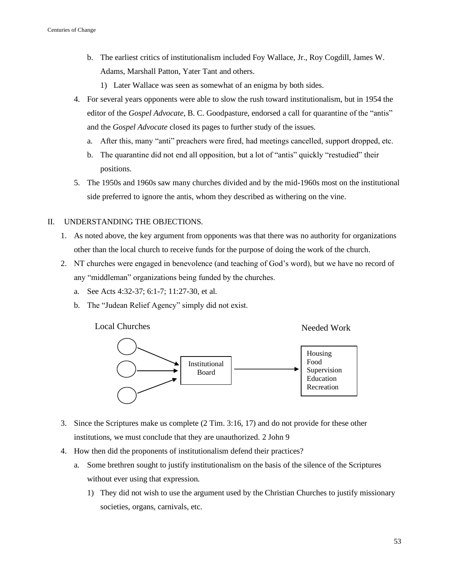- b. The earliest critics of institutionalism included Foy Wallace, Jr., Roy Cogdill, James W. Adams, Marshall Patton, Yater Tant and others.
	- 1) Later Wallace was seen as somewhat of an enigma by both sides.
- 4. For several years opponents were able to slow the rush toward institutionalism, but in 1954 the editor of the *Gospel Advocate*, B. C. Goodpasture, endorsed a call for quarantine of the "antis" and the *Gospel Advocate* closed its pages to further study of the issues.
	- a. After this, many "anti" preachers were fired, had meetings cancelled, support dropped, etc.
	- b. The quarantine did not end all opposition, but a lot of "antis" quickly "restudied" their positions.
- 5. The 1950s and 1960s saw many churches divided and by the mid-1960s most on the institutional side preferred to ignore the antis, whom they described as withering on the vine.

## II. UNDERSTANDING THE OBJECTIONS.

- 1. As noted above, the key argument from opponents was that there was no authority for organizations other than the local church to receive funds for the purpose of doing the work of the church.
- 2. NT churches were engaged in benevolence (and teaching of God's word), but we have no record of any "middleman" organizations being funded by the churches.
	- a. See Acts 4:32-37; 6:1-7; 11:27-30, et al.
	- b. The "Judean Relief Agency" simply did not exist.







- 3. Since the Scriptures make us complete (2 Tim. 3:16, 17) and do not provide for these other institutions, we must conclude that they are unauthorized. 2 John 9
- 4. How then did the proponents of institutionalism defend their practices?
	- a. Some brethren sought to justify institutionalism on the basis of the silence of the Scriptures without ever using that expression.
		- 1) They did not wish to use the argument used by the Christian Churches to justify missionary societies, organs, carnivals, etc.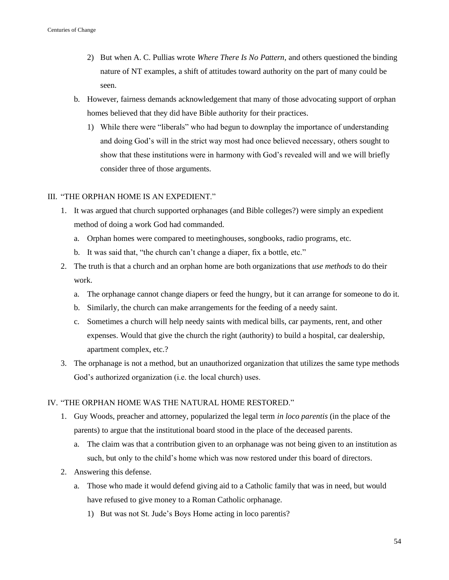- 2) But when A. C. Pullias wrote *Where There Is No Pattern*, and others questioned the binding nature of NT examples, a shift of attitudes toward authority on the part of many could be seen.
- b. However, fairness demands acknowledgement that many of those advocating support of orphan homes believed that they did have Bible authority for their practices.
	- 1) While there were "liberals" who had begun to downplay the importance of understanding and doing God's will in the strict way most had once believed necessary, others sought to show that these institutions were in harmony with God's revealed will and we will briefly consider three of those arguments.

### III. "THE ORPHAN HOME IS AN EXPEDIENT."

- 1. It was argued that church supported orphanages (and Bible colleges?) were simply an expedient method of doing a work God had commanded.
	- a. Orphan homes were compared to meetinghouses, songbooks, radio programs, etc.
	- b. It was said that, "the church can't change a diaper, fix a bottle, etc."
- 2. The truth is that a church and an orphan home are both organizations that *use methods* to do their work.
	- a. The orphanage cannot change diapers or feed the hungry, but it can arrange for someone to do it.
	- b. Similarly, the church can make arrangements for the feeding of a needy saint.
	- c. Sometimes a church will help needy saints with medical bills, car payments, rent, and other expenses. Would that give the church the right (authority) to build a hospital, car dealership, apartment complex, etc.?
- 3. The orphanage is not a method, but an unauthorized organization that utilizes the same type methods God's authorized organization (i.e. the local church) uses.

### IV. "THE ORPHAN HOME WAS THE NATURAL HOME RESTORED."

- 1. Guy Woods, preacher and attorney, popularized the legal term *in loco parentis* (in the place of the parents) to argue that the institutional board stood in the place of the deceased parents.
	- a. The claim was that a contribution given to an orphanage was not being given to an institution as such, but only to the child's home which was now restored under this board of directors.
- 2. Answering this defense.
	- a. Those who made it would defend giving aid to a Catholic family that was in need, but would have refused to give money to a Roman Catholic orphanage.
		- 1) But was not St. Jude's Boys Home acting in loco parentis?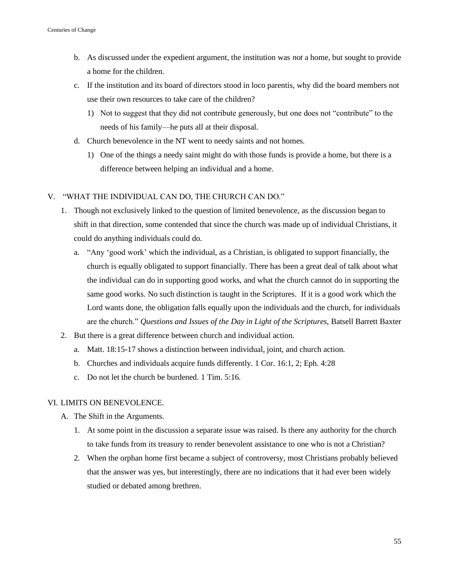- b. As discussed under the expedient argument, the institution was *not* a home, but sought to provide a home for the children.
- c. If the institution and its board of directors stood in loco parentis, why did the board members not use their own resources to take care of the children?
	- 1) Not to suggest that they did not contribute generously, but one does not "contribute" to the needs of his family—he puts all at their disposal.
- d. Church benevolence in the NT went to needy saints and not homes.
	- 1) One of the things a needy saint might do with those funds is provide a home, but there is a difference between helping an individual and a home.

### V. "WHAT THE INDIVIDUAL CAN DO, THE CHURCH CAN DO."

- 1. Though not exclusively linked to the question of limited benevolence, as the discussion began to shift in that direction, some contended that since the church was made up of individual Christians, it could do anything individuals could do.
	- a. "Any 'good work' which the individual, as a Christian, is obligated to support financially, the church is equally obligated to support financially. There has been a great deal of talk about what the individual can do in supporting good works, and what the church cannot do in supporting the same good works. No such distinction is taught in the Scriptures. If it is a good work which the Lord wants done, the obligation falls equally upon the individuals and the church, for individuals are the church." *Questions and Issues of the Day in Light of the Scriptures*, Batsell Barrett Baxter
- 2. But there is a great difference between church and individual action.
	- a. Matt. 18:15-17 shows a distinction between individual, joint, and church action.
	- b. Churches and individuals acquire funds differently. 1 Cor. 16:1, 2; Eph. 4:28
	- c. Do not let the church be burdened. 1 Tim. 5:16.

## VI. LIMITS ON BENEVOLENCE.

- A. The Shift in the Arguments.
	- 1. At some point in the discussion a separate issue was raised. Is there any authority for the church to take funds from its treasury to render benevolent assistance to one who is not a Christian?
	- 2. When the orphan home first became a subject of controversy, most Christians probably believed that the answer was yes, but interestingly, there are no indications that it had ever been widely studied or debated among brethren.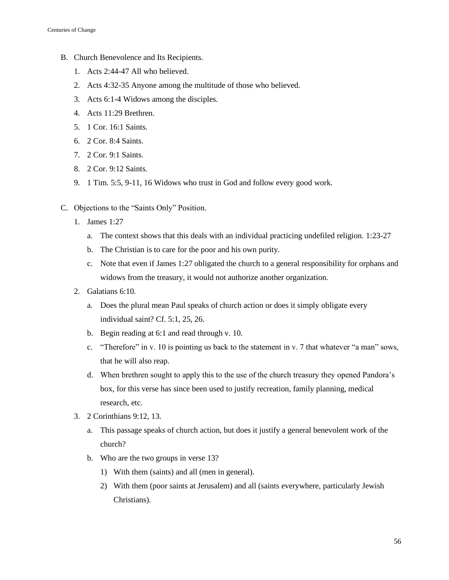- B. Church Benevolence and Its Recipients.
	- 1. Acts 2:44-47 All who believed.
	- 2. Acts 4:32-35 Anyone among the multitude of those who believed.
	- 3. Acts 6:1-4 Widows among the disciples.
	- 4. Acts 11:29 Brethren.
	- 5. 1 Cor. 16:1 Saints.
	- 6. 2 Cor. 8:4 Saints.
	- 7. 2 Cor. 9:1 Saints.
	- 8. 2 Cor. 9:12 Saints.
	- 9. 1 Tim. 5:5, 9-11, 16 Widows who trust in God and follow every good work.
- C. Objections to the "Saints Only" Position.
	- 1. James 1:27
		- a. The context shows that this deals with an individual practicing undefiled religion. 1:23-27
		- b. The Christian is to care for the poor and his own purity.
		- c. Note that even if James 1:27 obligated the church to a general responsibility for orphans and widows from the treasury, it would not authorize another organization.
	- 2. Galatians 6:10.
		- a. Does the plural mean Paul speaks of church action or does it simply obligate every individual saint? Cf. 5:1, 25, 26.
		- b. Begin reading at 6:1 and read through v. 10.
		- c. "Therefore" in v. 10 is pointing us back to the statement in v. 7 that whatever "a man" sows, that he will also reap.
		- d. When brethren sought to apply this to the use of the church treasury they opened Pandora's box, for this verse has since been used to justify recreation, family planning, medical research, etc.
	- 3. 2 Corinthians 9:12, 13.
		- a. This passage speaks of church action, but does it justify a general benevolent work of the church?
		- b. Who are the two groups in verse 13?
			- 1) With them (saints) and all (men in general).
			- 2) With them (poor saints at Jerusalem) and all (saints everywhere, particularly Jewish Christians).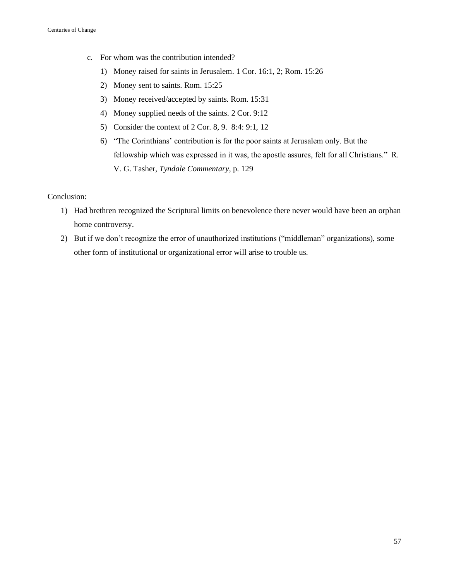- c. For whom was the contribution intended?
	- 1) Money raised for saints in Jerusalem. 1 Cor. 16:1, 2; Rom. 15:26
	- 2) Money sent to saints. Rom. 15:25
	- 3) Money received/accepted by saints. Rom. 15:31
	- 4) Money supplied needs of the saints. 2 Cor. 9:12
	- 5) Consider the context of 2 Cor. 8, 9. 8:4: 9:1, 12
	- 6) "The Corinthians' contribution is for the poor saints at Jerusalem only. But the fellowship which was expressed in it was, the apostle assures, felt for all Christians." R. V. G. Tasher, *Tyndale Commentary*, p. 129

Conclusion:

- 1) Had brethren recognized the Scriptural limits on benevolence there never would have been an orphan home controversy.
- 2) But if we don't recognize the error of unauthorized institutions ("middleman" organizations), some other form of institutional or organizational error will arise to trouble us.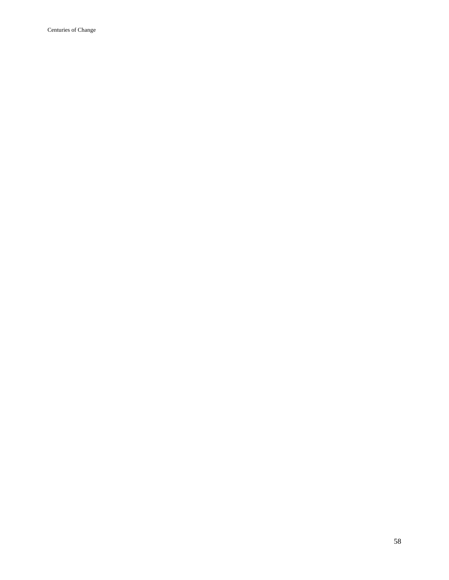Centuries of Change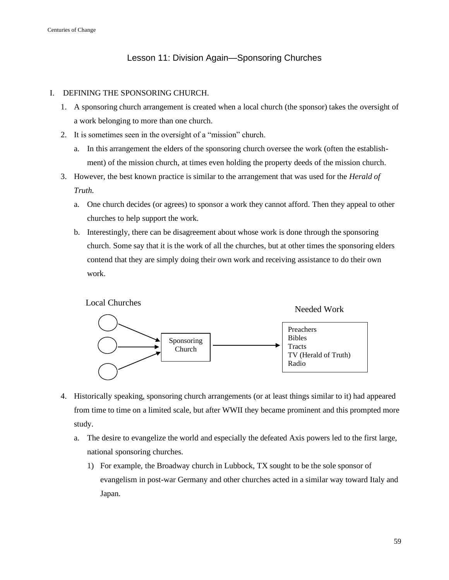# Lesson 11: Division Again—Sponsoring Churches

## I. DEFINING THE SPONSORING CHURCH.

- 1. A sponsoring church arrangement is created when a local church (the sponsor) takes the oversight of a work belonging to more than one church.
- 2. It is sometimes seen in the oversight of a "mission" church.
	- a. In this arrangement the elders of the sponsoring church oversee the work (often the establishment) of the mission church, at times even holding the property deeds of the mission church.
- 3. However, the best known practice is similar to the arrangement that was used for the *Herald of Truth*.
	- a. One church decides (or agrees) to sponsor a work they cannot afford. Then they appeal to other churches to help support the work.
	- b. Interestingly, there can be disagreement about whose work is done through the sponsoring church. Some say that it is the work of all the churches, but at other times the sponsoring elders contend that they are simply doing their own work and receiving assistance to do their own work.



- 4. Historically speaking, sponsoring church arrangements (or at least things similar to it) had appeared from time to time on a limited scale, but after WWII they became prominent and this prompted more study.
	- a. The desire to evangelize the world and especially the defeated Axis powers led to the first large, national sponsoring churches.
		- 1) For example, the Broadway church in Lubbock, TX sought to be the sole sponsor of evangelism in post-war Germany and other churches acted in a similar way toward Italy and Japan.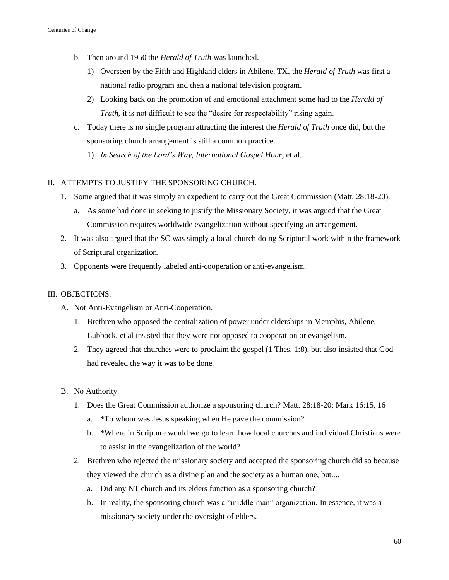- b. Then around 1950 the *Herald of Truth* was launched.
	- 1) Overseen by the Fifth and Highland elders in Abilene, TX, the *Herald of Truth* was first a national radio program and then a national television program.
	- 2) Looking back on the promotion of and emotional attachment some had to the *Herald of Truth*, it is not difficult to see the "desire for respectability" rising again.
- c. Today there is no single program attracting the interest the *Herald of Truth* once did, but the sponsoring church arrangement is still a common practice.
	- 1) *In Search of the Lord's Way*, *International Gospel Hour*, et al..

## II. ATTEMPTS TO JUSTIFY THE SPONSORING CHURCH.

- 1. Some argued that it was simply an expedient to carry out the Great Commission (Matt. 28:18-20).
	- a. As some had done in seeking to justify the Missionary Society, it was argued that the Great Commission requires worldwide evangelization without specifying an arrangement.
- 2. It was also argued that the SC was simply a local church doing Scriptural work within the framework of Scriptural organization.
- 3. Opponents were frequently labeled anti-cooperation or anti-evangelism.

## III. OBJECTIONS.

- A. Not Anti-Evangelism or Anti-Cooperation.
	- 1. Brethren who opposed the centralization of power under elderships in Memphis, Abilene, Lubbock, et al insisted that they were not opposed to cooperation or evangelism.
	- 2. They agreed that churches were to proclaim the gospel (1 Thes. 1:8), but also insisted that God had revealed the way it was to be done.
- B. No Authority.
	- 1. Does the Great Commission authorize a sponsoring church? Matt. 28:18-20; Mark 16:15, 16
		- a. \*To whom was Jesus speaking when He gave the commission?
		- b. \*Where in Scripture would we go to learn how local churches and individual Christians were to assist in the evangelization of the world?
	- 2. Brethren who rejected the missionary society and accepted the sponsoring church did so because they viewed the church as a divine plan and the society as a human one, but....
		- a. Did any NT church and its elders function as a sponsoring church?
		- b. In reality, the sponsoring church was a "middle-man" organization. In essence, it was a missionary society under the oversight of elders.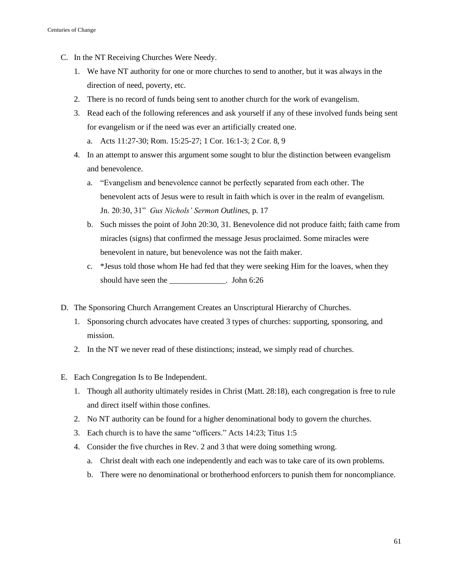- C. In the NT Receiving Churches Were Needy.
	- 1. We have NT authority for one or more churches to send to another, but it was always in the direction of need, poverty, etc.
	- 2. There is no record of funds being sent to another church for the work of evangelism.
	- 3. Read each of the following references and ask yourself if any of these involved funds being sent for evangelism or if the need was ever an artificially created one.
		- a. Acts 11:27-30; Rom. 15:25-27; 1 Cor. 16:1-3; 2 Cor. 8, 9
	- 4. In an attempt to answer this argument some sought to blur the distinction between evangelism and benevolence.
		- a. "Evangelism and benevolence cannot be perfectly separated from each other. The benevolent acts of Jesus were to result in faith which is over in the realm of evangelism. Jn. 20:30, 31" *Gus Nichols' Sermon Outlines*, p. 17
		- b. Such misses the point of John 20:30, 31. Benevolence did not produce faith; faith came from miracles (signs) that confirmed the message Jesus proclaimed. Some miracles were benevolent in nature, but benevolence was not the faith maker.
		- c. \*Jesus told those whom He had fed that they were seeking Him for the loaves, when they should have seen the \_\_\_\_\_\_\_\_\_\_\_\_\_\_\_. John 6:26
- D. The Sponsoring Church Arrangement Creates an Unscriptural Hierarchy of Churches.
	- 1. Sponsoring church advocates have created 3 types of churches: supporting, sponsoring, and mission.
	- 2. In the NT we never read of these distinctions; instead, we simply read of churches.
- E. Each Congregation Is to Be Independent.
	- 1. Though all authority ultimately resides in Christ (Matt. 28:18), each congregation is free to rule and direct itself within those confines.
	- 2. No NT authority can be found for a higher denominational body to govern the churches.
	- 3. Each church is to have the same "officers." Acts 14:23; Titus 1:5
	- 4. Consider the five churches in Rev. 2 and 3 that were doing something wrong.
		- a. Christ dealt with each one independently and each was to take care of its own problems.
		- b. There were no denominational or brotherhood enforcers to punish them for noncompliance.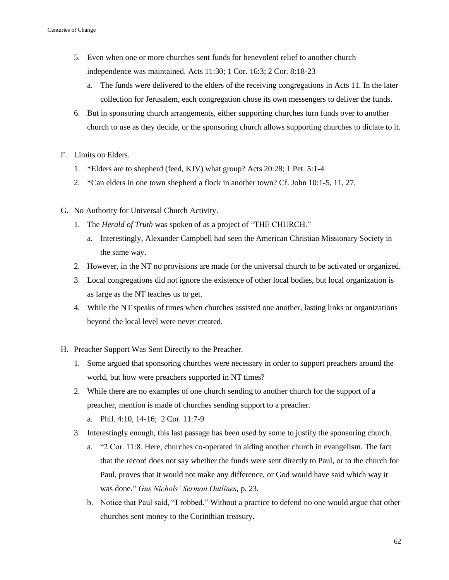- 5. Even when one or more churches sent funds for benevolent relief to another church independence was maintained. Acts 11:30; 1 Cor. 16:3; 2 Cor. 8:18-23
	- a. The funds were delivered to the elders of the receiving congregations in Acts 11. In the later collection for Jerusalem, each congregation chose its own messengers to deliver the funds.
- 6. But in sponsoring church arrangements, either supporting churches turn funds over to another church to use as they decide, or the sponsoring church allows supporting churches to dictate to it.

### F. Limits on Elders.

- 1. \*Elders are to shepherd (feed, KJV) what group? Acts 20:28; 1 Pet. 5:1-4
- 2. \*Can elders in one town shepherd a flock in another town? Cf. John 10:1-5, 11, 27.
- G. No Authority for Universal Church Activity.
	- 1. The *Herald of Truth* was spoken of as a project of "THE CHURCH."
		- a. Interestingly, Alexander Campbell had seen the American Christian Missionary Society in the same way.
	- 2. However, in the NT no provisions are made for the universal church to be activated or organized.
	- 3. Local congregations did not ignore the existence of other local bodies, but local organization is as large as the NT teaches us to get.
	- 4. While the NT speaks of times when churches assisted one another, lasting links or organizations beyond the local level were never created.
- H. Preacher Support Was Sent Directly to the Preacher.
	- 1. Some argued that sponsoring churches were necessary in order to support preachers around the world, but how were preachers supported in NT times?
	- 2. While there are no examples of one church sending to another church for the support of a preacher, mention is made of churches sending support to a preacher.
		- a. Phil. 4:10, 14-16; 2 Cor. 11:7-9
	- 3. Interestingly enough, this last passage has been used by some to justify the sponsoring church.
		- a. "2 Cor. 11:8. Here, churches co-operated in aiding another church in evangelism. The fact that the record does not say whether the funds were sent directly to Paul, or to the church for Paul, proves that it would not make any difference, or God would have said which way it was done." *Gus Nichols' Sermon Outlines*, p. 23.
		- b. Notice that Paul said, "**I** robbed." Without a practice to defend no one would argue that other churches sent money to the Corinthian treasury.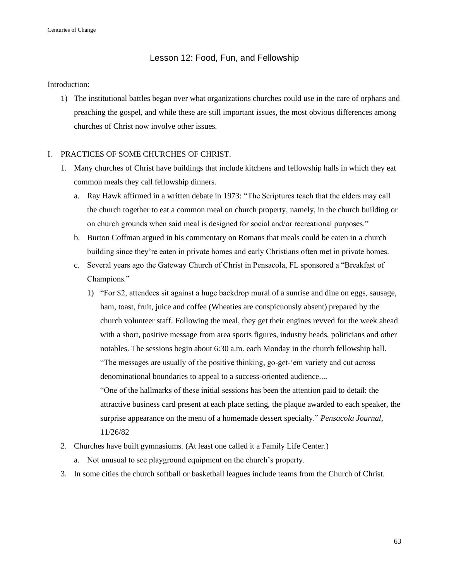## Lesson 12: Food, Fun, and Fellowship

### Introduction:

1) The institutional battles began over what organizations churches could use in the care of orphans and preaching the gospel, and while these are still important issues, the most obvious differences among churches of Christ now involve other issues.

#### I. PRACTICES OF SOME CHURCHES OF CHRIST.

- 1. Many churches of Christ have buildings that include kitchens and fellowship halls in which they eat common meals they call fellowship dinners.
	- a. Ray Hawk affirmed in a written debate in 1973: "The Scriptures teach that the elders may call the church together to eat a common meal on church property, namely, in the church building or on church grounds when said meal is designed for social and/or recreational purposes."
	- b. Burton Coffman argued in his commentary on Romans that meals could be eaten in a church building since they're eaten in private homes and early Christians often met in private homes.
	- c. Several years ago the Gateway Church of Christ in Pensacola, FL sponsored a "Breakfast of Champions."
		- 1) "For \$2, attendees sit against a huge backdrop mural of a sunrise and dine on eggs, sausage, ham, toast, fruit, juice and coffee (Wheaties are conspicuously absent) prepared by the church volunteer staff. Following the meal, they get their engines revved for the week ahead with a short, positive message from area sports figures, industry heads, politicians and other notables. The sessions begin about 6:30 a.m. each Monday in the church fellowship hall. "The messages are usually of the positive thinking, go-get-'em variety and cut across denominational boundaries to appeal to a success-oriented audience.... "One of the hallmarks of these initial sessions has been the attention paid to detail: the attractive business card present at each place setting, the plaque awarded to each speaker, the surprise appearance on the menu of a homemade dessert specialty." *Pensacola Journal*, 11/26/82
- 2. Churches have built gymnasiums. (At least one called it a Family Life Center.)
	- a. Not unusual to see playground equipment on the church's property.
- 3. In some cities the church softball or basketball leagues include teams from the Church of Christ.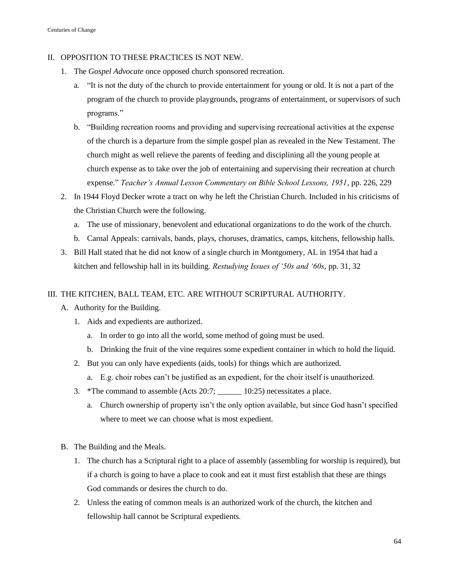#### II. OPPOSITION TO THESE PRACTICES IS NOT NEW.

- 1. The *Gospel Advocate* once opposed church sponsored recreation.
	- a. "It is not the duty of the church to provide entertainment for young or old. It is not a part of the program of the church to provide playgrounds, programs of entertainment, or supervisors of such programs."
	- b. "Building recreation rooms and providing and supervising recreational activities at the expense of the church is a departure from the simple gospel plan as revealed in the New Testament. The church might as well relieve the parents of feeding and disciplining all the young people at church expense as to take over the job of entertaining and supervising their recreation at church expense." *Teacher's Annual Lesson Commentary on Bible School Lessons, 1951*, pp. 226, 229
- 2. In 1944 Floyd Decker wrote a tract on why he left the Christian Church. Included in his criticisms of the Christian Church were the following.
	- a. The use of missionary, benevolent and educational organizations to do the work of the church.
	- b. Carnal Appeals: carnivals, bands, plays, choruses, dramatics, camps, kitchens, fellowship halls.
- 3. Bill Hall stated that he did not know of a single church in Montgomery, AL in 1954 that had a kitchen and fellowship hall in its building. *Restudying Issues of '50s and '60s*, pp. 31, 32

## III. THE KITCHEN, BALL TEAM, ETC. ARE WITHOUT SCRIPTURAL AUTHORITY.

- A. Authority for the Building.
	- 1. Aids and expedients are authorized.
		- a. In order to go into all the world, some method of going must be used.
		- b. Drinking the fruit of the vine requires some expedient container in which to hold the liquid.
	- 2. But you can only have expedients (aids, tools) for things which are authorized.
		- a. E.g. choir robes can't be justified as an expedient, for the choir itself is unauthorized.
	- 3. \*The command to assemble (Acts 20:7;  $10:25$ ) necessitates a place.
		- a. Church ownership of property isn't the only option available, but since God hasn't specified where to meet we can choose what is most expedient.
- B. The Building and the Meals.
	- 1. The church has a Scriptural right to a place of assembly (assembling for worship is required), but if a church is going to have a place to cook and eat it must first establish that these are things God commands or desires the church to do.
	- 2. Unless the eating of common meals is an authorized work of the church, the kitchen and fellowship hall cannot be Scriptural expedients.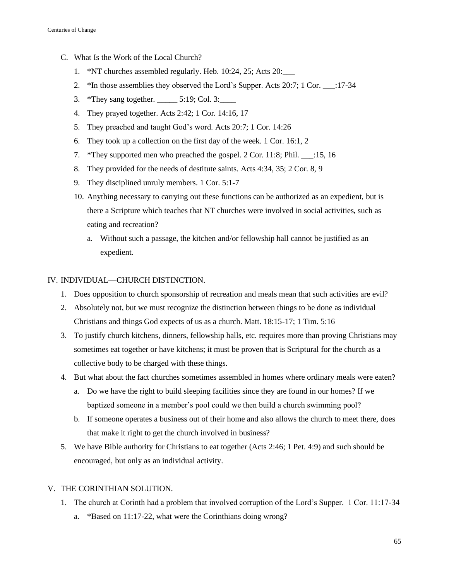- C. What Is the Work of the Local Church?
	- 1. \*NT churches assembled regularly. Heb. 10:24, 25; Acts 20:\_\_\_
	- 2. \*In those assemblies they observed the Lord's Supper. Acts 20:7; 1 Cor.  $\therefore$  17-34
	- 3. \*They sang together. \_\_\_\_\_ 5:19; Col. 3:\_\_\_\_
	- 4. They prayed together. Acts 2:42; 1 Cor. 14:16, 17
	- 5. They preached and taught God's word. Acts 20:7; 1 Cor. 14:26
	- 6. They took up a collection on the first day of the week. 1 Cor. 16:1, 2
	- 7. \*They supported men who preached the gospel. 2 Cor. 11:8; Phil.  $\therefore$  15, 16
	- 8. They provided for the needs of destitute saints. Acts 4:34, 35; 2 Cor. 8, 9
	- 9. They disciplined unruly members. 1 Cor. 5:1-7
	- 10. Anything necessary to carrying out these functions can be authorized as an expedient, but is there a Scripture which teaches that NT churches were involved in social activities, such as eating and recreation?
		- a. Without such a passage, the kitchen and/or fellowship hall cannot be justified as an expedient.

### IV. INDIVIDUAL—CHURCH DISTINCTION.

- 1. Does opposition to church sponsorship of recreation and meals mean that such activities are evil?
- 2. Absolutely not, but we must recognize the distinction between things to be done as individual Christians and things God expects of us as a church. Matt. 18:15-17; 1 Tim. 5:16
- 3. To justify church kitchens, dinners, fellowship halls, etc. requires more than proving Christians may sometimes eat together or have kitchens; it must be proven that is Scriptural for the church as a collective body to be charged with these things.
- 4. But what about the fact churches sometimes assembled in homes where ordinary meals were eaten?
	- a. Do we have the right to build sleeping facilities since they are found in our homes? If we baptized someone in a member's pool could we then build a church swimming pool?
	- b. If someone operates a business out of their home and also allows the church to meet there, does that make it right to get the church involved in business?
- 5. We have Bible authority for Christians to eat together (Acts 2:46; 1 Pet. 4:9) and such should be encouraged, but only as an individual activity.

## V. THE CORINTHIAN SOLUTION.

- 1. The church at Corinth had a problem that involved corruption of the Lord's Supper. 1 Cor. 11:17-34
	- a. \*Based on 11:17-22, what were the Corinthians doing wrong?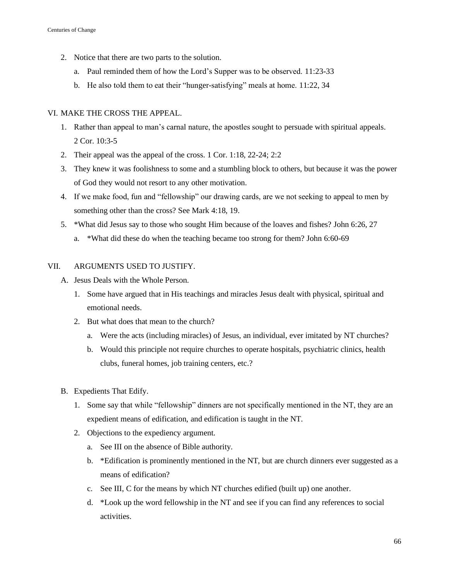- 2. Notice that there are two parts to the solution.
	- a. Paul reminded them of how the Lord's Supper was to be observed. 11:23-33
	- b. He also told them to eat their "hunger-satisfying" meals at home. 11:22, 34

## VI. MAKE THE CROSS THE APPEAL.

- 1. Rather than appeal to man's carnal nature, the apostles sought to persuade with spiritual appeals. 2 Cor. 10:3-5
- 2. Their appeal was the appeal of the cross. 1 Cor. 1:18, 22-24; 2:2
- 3. They knew it was foolishness to some and a stumbling block to others, but because it was the power of God they would not resort to any other motivation.
- 4. If we make food, fun and "fellowship" our drawing cards, are we not seeking to appeal to men by something other than the cross? See Mark 4:18, 19.
- 5. \*What did Jesus say to those who sought Him because of the loaves and fishes? John 6:26, 27
	- a. \*What did these do when the teaching became too strong for them? John 6:60-69

### VII. ARGUMENTS USED TO JUSTIFY.

- A. Jesus Deals with the Whole Person.
	- 1. Some have argued that in His teachings and miracles Jesus dealt with physical, spiritual and emotional needs.
	- 2. But what does that mean to the church?
		- a. Were the acts (including miracles) of Jesus, an individual, ever imitated by NT churches?
		- b. Would this principle not require churches to operate hospitals, psychiatric clinics, health clubs, funeral homes, job training centers, etc.?
- B. Expedients That Edify.
	- 1. Some say that while "fellowship" dinners are not specifically mentioned in the NT, they are an expedient means of edification, and edification is taught in the NT.
	- 2. Objections to the expediency argument.
		- a. See III on the absence of Bible authority.
		- b. \*Edification is prominently mentioned in the NT, but are church dinners ever suggested as a means of edification?
		- c. See III, C for the means by which NT churches edified (built up) one another.
		- d. \*Look up the word fellowship in the NT and see if you can find any references to social activities.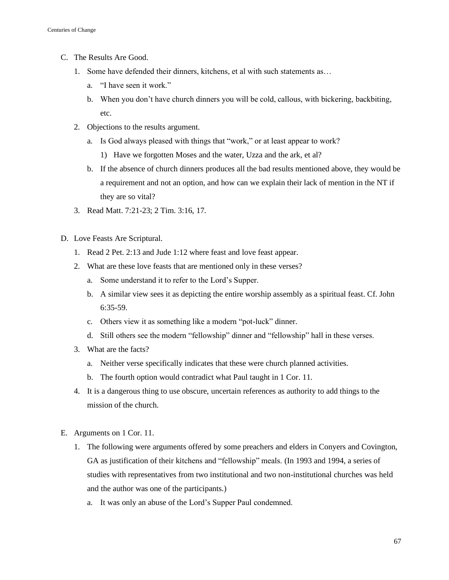- C. The Results Are Good.
	- 1. Some have defended their dinners, kitchens, et al with such statements as…
		- a. "I have seen it work."
		- b. When you don't have church dinners you will be cold, callous, with bickering, backbiting, etc.
	- 2. Objections to the results argument.
		- a. Is God always pleased with things that "work," or at least appear to work?
			- 1) Have we forgotten Moses and the water, Uzza and the ark, et al?
		- b. If the absence of church dinners produces all the bad results mentioned above, they would be a requirement and not an option, and how can we explain their lack of mention in the NT if they are so vital?
	- 3. Read Matt. 7:21-23; 2 Tim. 3:16, 17.
- D. Love Feasts Are Scriptural.
	- 1. Read 2 Pet. 2:13 and Jude 1:12 where feast and love feast appear.
	- 2. What are these love feasts that are mentioned only in these verses?
		- a. Some understand it to refer to the Lord's Supper.
		- b. A similar view sees it as depicting the entire worship assembly as a spiritual feast. Cf. John 6:35-59.
		- c. Others view it as something like a modern "pot-luck" dinner.
		- d. Still others see the modern "fellowship" dinner and "fellowship" hall in these verses.
	- 3. What are the facts?
		- a. Neither verse specifically indicates that these were church planned activities.
		- b. The fourth option would contradict what Paul taught in 1 Cor. 11.
	- 4. It is a dangerous thing to use obscure, uncertain references as authority to add things to the mission of the church.
- E. Arguments on 1 Cor. 11.
	- 1. The following were arguments offered by some preachers and elders in Conyers and Covington, GA as justification of their kitchens and "fellowship" meals. (In 1993 and 1994, a series of studies with representatives from two institutional and two non-institutional churches was held and the author was one of the participants.)
		- a. It was only an abuse of the Lord's Supper Paul condemned.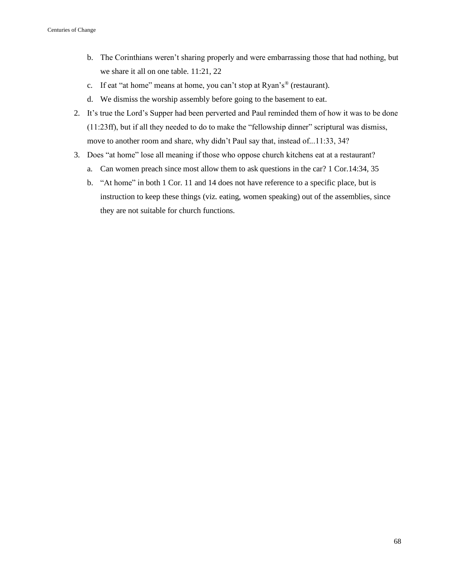- b. The Corinthians weren't sharing properly and were embarrassing those that had nothing, but we share it all on one table. 11:21, 22
- c. If eat "at home" means at home, you can't stop at Ryan's<sup>®</sup> (restaurant).
- d. We dismiss the worship assembly before going to the basement to eat.
- 2. It's true the Lord's Supper had been perverted and Paul reminded them of how it was to be done (11:23ff), but if all they needed to do to make the "fellowship dinner" scriptural was dismiss, move to another room and share, why didn't Paul say that, instead of...11:33, 34?
- 3. Does "at home" lose all meaning if those who oppose church kitchens eat at a restaurant?
	- a. Can women preach since most allow them to ask questions in the car? 1 Cor.14:34, 35
	- b. "At home" in both 1 Cor. 11 and 14 does not have reference to a specific place, but is instruction to keep these things (viz. eating, women speaking) out of the assemblies, since they are not suitable for church functions.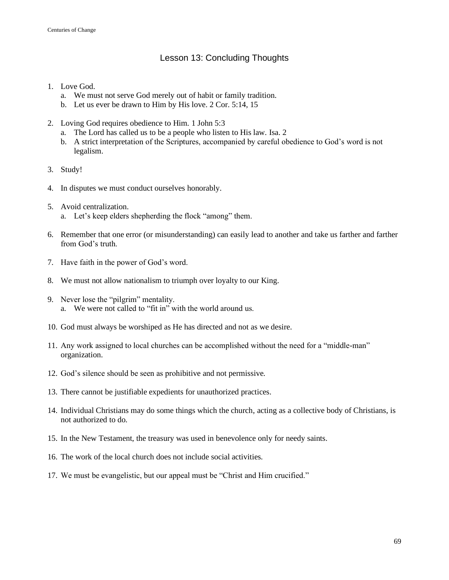# Lesson 13: Concluding Thoughts

## 1. Love God.

- a. We must not serve God merely out of habit or family tradition.
- b. Let us ever be drawn to Him by His love. 2 Cor. 5:14, 15
- 2. Loving God requires obedience to Him. 1 John 5:3
	- a. The Lord has called us to be a people who listen to His law. Isa. 2
	- b. A strict interpretation of the Scriptures, accompanied by careful obedience to God's word is not legalism.
- 3. Study!
- 4. In disputes we must conduct ourselves honorably.
- 5. Avoid centralization.
	- a. Let's keep elders shepherding the flock "among" them.
- 6. Remember that one error (or misunderstanding) can easily lead to another and take us farther and farther from God's truth.
- 7. Have faith in the power of God's word.
- 8. We must not allow nationalism to triumph over loyalty to our King.
- 9. Never lose the "pilgrim" mentality. a. We were not called to "fit in" with the world around us.
- 10. God must always be worshiped as He has directed and not as we desire.
- 11. Any work assigned to local churches can be accomplished without the need for a "middle-man" organization.
- 12. God's silence should be seen as prohibitive and not permissive.
- 13. There cannot be justifiable expedients for unauthorized practices.
- 14. Individual Christians may do some things which the church, acting as a collective body of Christians, is not authorized to do.
- 15. In the New Testament, the treasury was used in benevolence only for needy saints.
- 16. The work of the local church does not include social activities.
- 17. We must be evangelistic, but our appeal must be "Christ and Him crucified."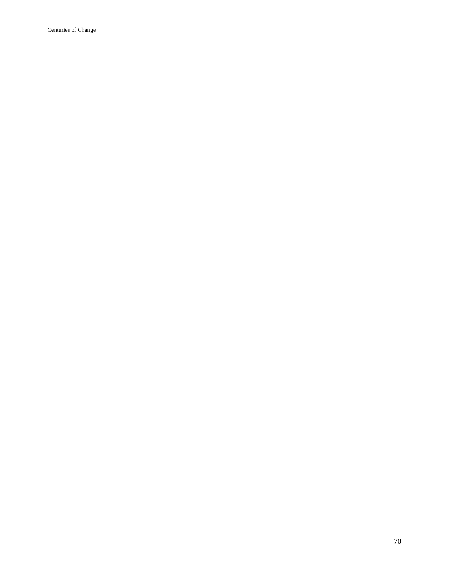Centuries of Change